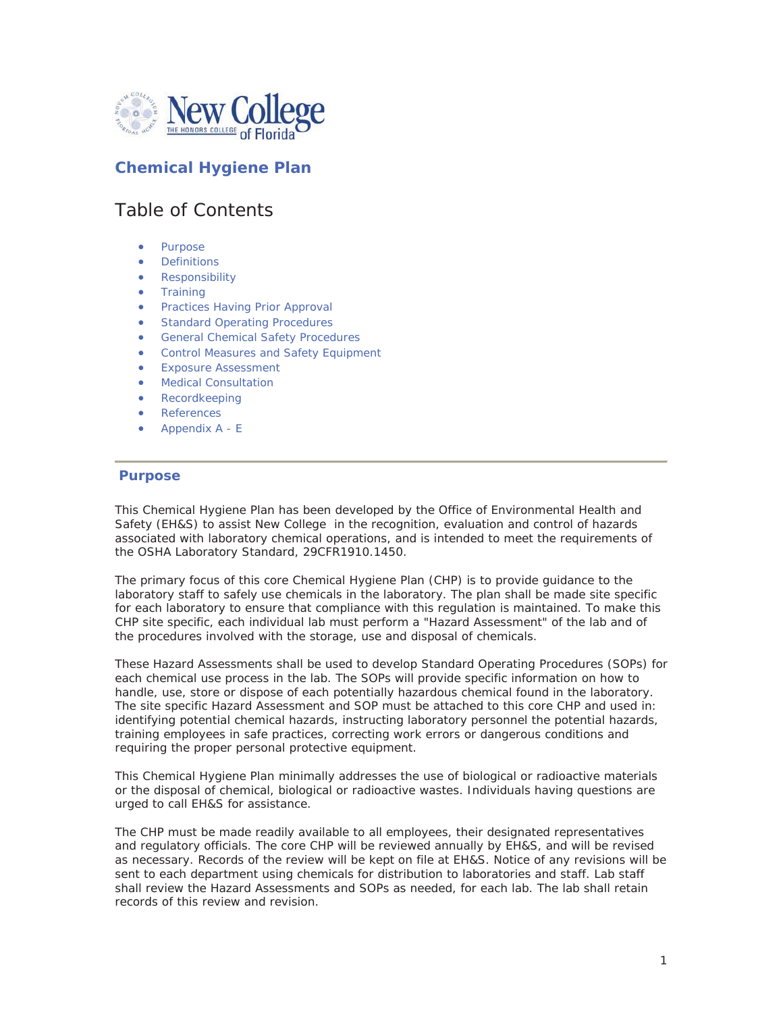

### **Chemical Hygiene Plan**

### Table of Contents

- Purpose
- **•** Definitions
- Responsibility
- **•** Training
- Practices Having Prior Approval
- Standard Operating Procedures
- General Chemical Safety Procedures
- Control Measures and Safety Equipment
- x Exposure Assessment
- Medical Consultation
- **Recordkeeping**
- References
- Appendix A E

#### **Purpose**

This Chemical Hygiene Plan has been developed by the Office of Environmental Health and Safety (EH&S) to assist New College in the recognition, evaluation and control of hazards associated with laboratory chemical operations, and is intended to meet the requirements of the OSHA Laboratory Standard, 29CFR1910.1450.

The primary focus of this core Chemical Hygiene Plan (CHP) is to provide guidance to the laboratory staff to safely use chemicals in the laboratory. The plan shall be made site specific for each laboratory to ensure that compliance with this regulation is maintained. To make this CHP site specific, each individual lab must perform a "Hazard Assessment" of the lab and of the procedures involved with the storage, use and disposal of chemicals.

These Hazard Assessments shall be used to develop Standard Operating Procedures (SOPs) for each chemical use process in the lab. The SOPs will provide specific information on how to handle, use, store or dispose of each potentially hazardous chemical found in the laboratory. The site specific Hazard Assessment and SOP must be attached to this core CHP and used in: identifying potential chemical hazards, instructing laboratory personnel the potential hazards, training employees in safe practices, correcting work errors or dangerous conditions and requiring the proper personal protective equipment.

This Chemical Hygiene Plan minimally addresses the use of biological or radioactive materials or the disposal of chemical, biological or radioactive wastes. Individuals having questions are urged to call EH&S for assistance.

The CHP must be made readily available to all employees, their designated representatives and regulatory officials. The core CHP will be reviewed annually by EH&S, and will be revised as necessary. Records of the review will be kept on file at EH&S. Notice of any revisions will be sent to each department using chemicals for distribution to laboratories and staff. Lab staff shall review the Hazard Assessments and SOPs as needed, for each lab. The lab shall retain records of this review and revision.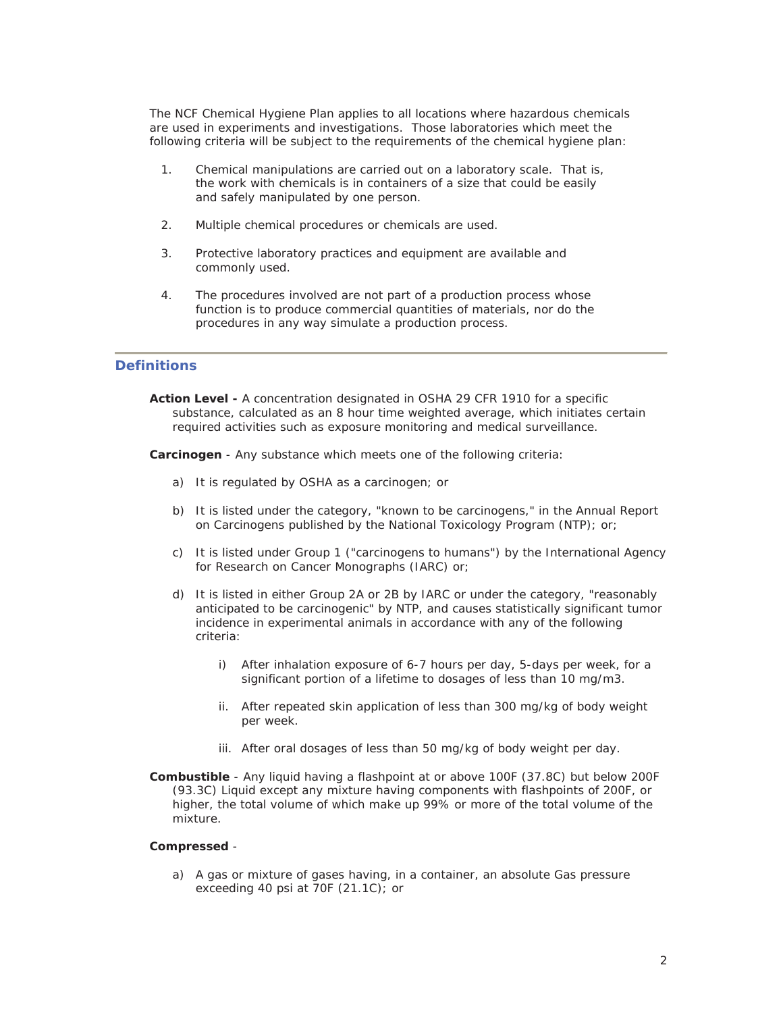The NCF Chemical Hygiene Plan applies to all locations where hazardous chemicals are used in experiments and investigations. Those laboratories which meet the following criteria will be subject to the requirements of the chemical hygiene plan:

- 1. Chemical manipulations are carried out on a laboratory scale. That is, the work with chemicals is in containers of a size that could be easily and safely manipulated by one person.
- 2. Multiple chemical procedures or chemicals are used.
- 3. Protective laboratory practices and equipment are available and commonly used.
- 4. The procedures involved are not part of a production process whose function is to produce commercial quantities of materials, nor do the procedures in any way simulate a production process.

#### **Definitions**

**Action Level -** A concentration designated in OSHA 29 CFR 1910 for a specific substance, calculated as an 8 hour time weighted average, which initiates certain required activities such as exposure monitoring and medical surveillance.

**Carcinogen** - Any substance which meets one of the following criteria:

- a) It is regulated by OSHA as a carcinogen; or
- b) It is listed under the category, "known to be carcinogens," in the Annual Report on Carcinogens published by the National Toxicology Program (NTP); or;
- c) It is listed under Group 1 ("carcinogens to humans") by the International Agency for Research on Cancer Monographs (IARC) or;
- d) It is listed in either Group 2A or 2B by IARC or under the category, "reasonably anticipated to be carcinogenic" by NTP, and causes statistically significant tumor incidence in experimental animals in accordance with any of the following criteria:
	- i) After inhalation exposure of 6-7 hours per day, 5-days per week, for a significant portion of a lifetime to dosages of less than 10 mg/m3.
	- ii. After repeated skin application of less than 300 mg/kg of body weight per week.
	- iii. After oral dosages of less than 50 mg/kg of body weight per day.
- **Combustible** Any liquid having a flashpoint at or above 100F (37.8C) but below 200F (93.3C) Liquid except any mixture having components with flashpoints of 200F, or higher, the total volume of which make up 99% or more of the total volume of the mixture.

#### **Compressed** -

a) A gas or mixture of gases having, in a container, an absolute Gas pressure exceeding 40 psi at 70F (21.1C); or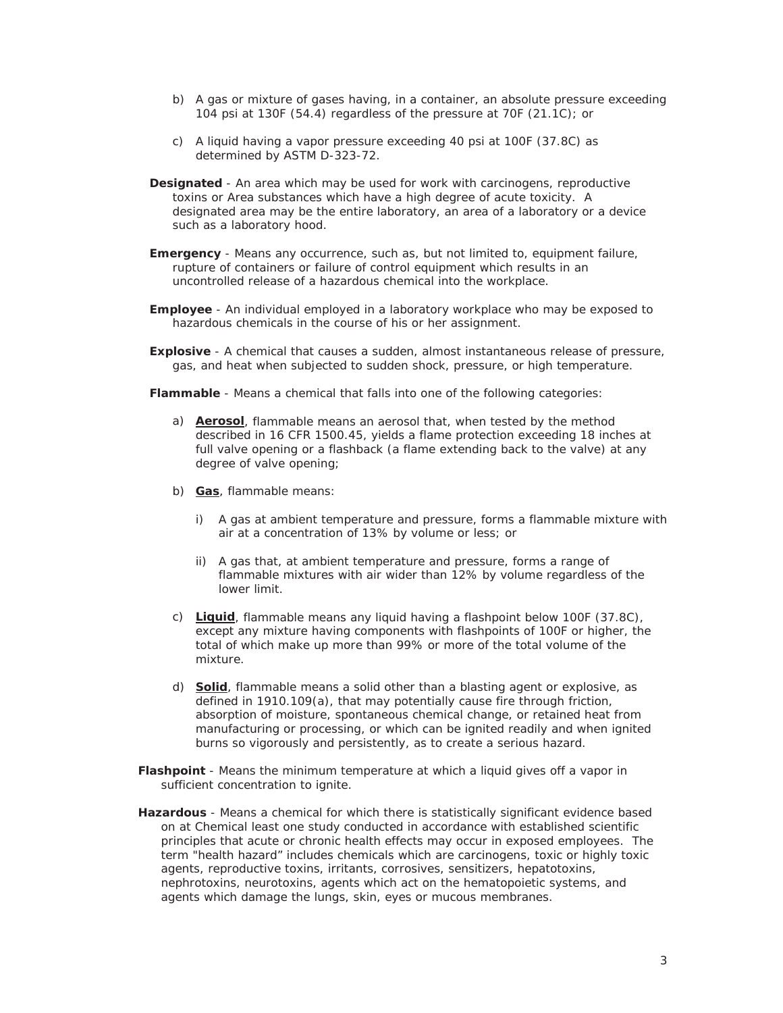- b) A gas or mixture of gases having, in a container, an absolute pressure exceeding 104 psi at 130F (54.4) regardless of the pressure at 70F (21.1C); or
- c) A liquid having a vapor pressure exceeding 40 psi at 100F (37.8C) as determined by ASTM D-323-72.
- **Designated** An area which may be used for work with carcinogens, reproductive toxins or Area substances which have a high degree of acute toxicity. A designated area may be the entire laboratory, an area of a laboratory or a device such as a laboratory hood.
- **Emergency** Means any occurrence, such as, but not limited to, equipment failure, rupture of containers or failure of control equipment which results in an uncontrolled release of a hazardous chemical into the workplace.
- **Employee**  An individual employed in a laboratory workplace who may be exposed to hazardous chemicals in the course of his or her assignment.
- **Explosive** A chemical that causes a sudden, almost instantaneous release of pressure, gas, and heat when subjected to sudden shock, pressure, or high temperature.

**Flammable** - Means a chemical that falls into one of the following categories:

- a) **Aerosol**, flammable means an aerosol that, when tested by the method described in 16 CFR 1500.45, yields a flame protection exceeding 18 inches at full valve opening or a flashback (a flame extending back to the valve) at any degree of valve opening;
- b) **Gas**, flammable means:
	- i) A gas at ambient temperature and pressure, forms a flammable mixture with air at a concentration of 13% by volume or less; or
	- ii) A gas that, at ambient temperature and pressure, forms a range of flammable mixtures with air wider than 12% by volume regardless of the lower limit.
- c) **Liquid**, flammable means any liquid having a flashpoint below 100F (37.8C), except any mixture having components with flashpoints of 100F or higher, the total of which make up more than 99% or more of the total volume of the mixture.
- d) **Solid**, flammable means a solid other than a blasting agent or explosive, as defined in 1910.109(a), that may potentially cause fire through friction, absorption of moisture, spontaneous chemical change, or retained heat from manufacturing or processing, or which can be ignited readily and when ignited burns so vigorously and persistently, as to create a serious hazard.
- **Flashpoint** Means the minimum temperature at which a liquid gives off a vapor in sufficient concentration to ignite.
- **Hazardous** Means a chemical for which there is statistically significant evidence based on at Chemical least one study conducted in accordance with established scientific principles that acute or chronic health effects may occur in exposed employees. The term "health hazard" includes chemicals which are carcinogens, toxic or highly toxic agents, reproductive toxins, irritants, corrosives, sensitizers, hepatotoxins, nephrotoxins, neurotoxins, agents which act on the hematopoietic systems, and agents which damage the lungs, skin, eyes or mucous membranes.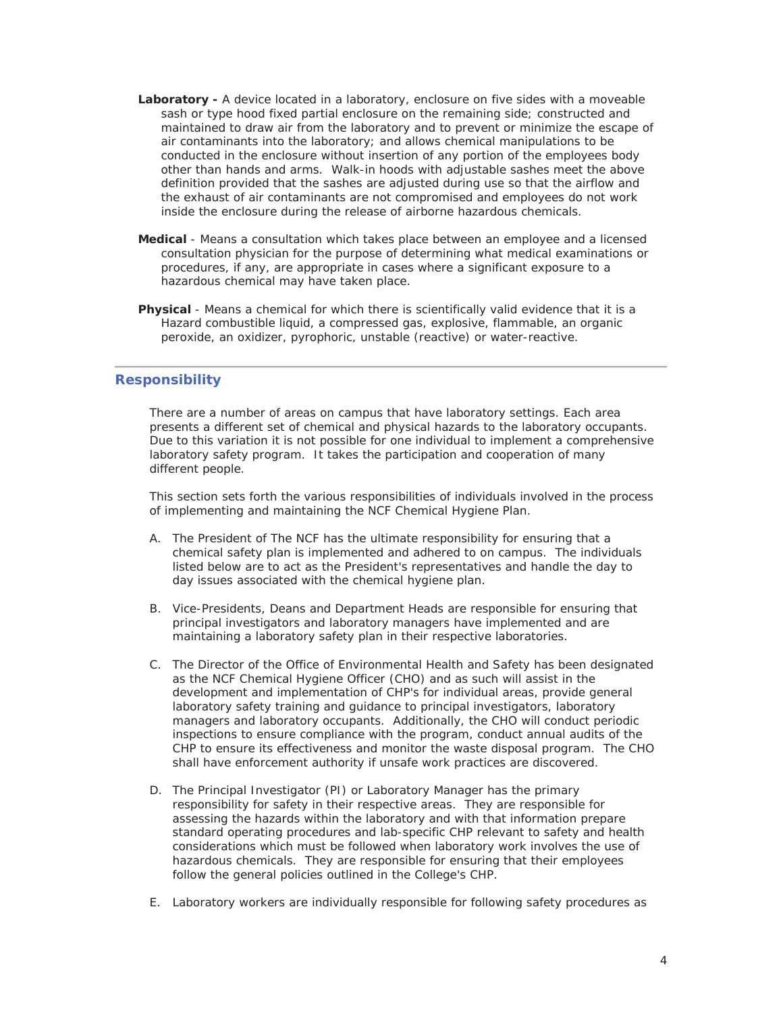- Laboratory A device located in a laboratory, enclosure on five sides with a moveable sash or type hood fixed partial enclosure on the remaining side; constructed and maintained to draw air from the laboratory and to prevent or minimize the escape of air contaminants into the laboratory; and allows chemical manipulations to be conducted in the enclosure without insertion of any portion of the employees body other than hands and arms. Walk-in hoods with adjustable sashes meet the above definition provided that the sashes are adjusted during use so that the airflow and the exhaust of air contaminants are not compromised and employees do not work inside the enclosure during the release of airborne hazardous chemicals.
- **Medical** Means a consultation which takes place between an employee and a licensed consultation physician for the purpose of determining what medical examinations or procedures, if any, are appropriate in cases where a significant exposure to a hazardous chemical may have taken place.
- **Physical** Means a chemical for which there is scientifically valid evidence that it is a Hazard combustible liquid, a compressed gas, explosive, flammable, an organic peroxide, an oxidizer, pyrophoric, unstable (reactive) or water-reactive.

#### **Responsibility**

There are a number of areas on campus that have laboratory settings. Each area presents a different set of chemical and physical hazards to the laboratory occupants. Due to this variation it is not possible for one individual to implement a comprehensive laboratory safety program. It takes the participation and cooperation of many different people.

This section sets forth the various responsibilities of individuals involved in the process of implementing and maintaining the NCF Chemical Hygiene Plan.

- A. The President of The NCF has the ultimate responsibility for ensuring that a chemical safety plan is implemented and adhered to on campus. The individuals listed below are to act as the President's representatives and handle the day to day issues associated with the chemical hygiene plan.
- B. Vice-Presidents, Deans and Department Heads are responsible for ensuring that principal investigators and laboratory managers have implemented and are maintaining a laboratory safety plan in their respective laboratories.
- C. The Director of the Office of Environmental Health and Safety has been designated as the NCF Chemical Hygiene Officer (CHO) and as such will assist in the development and implementation of CHP's for individual areas, provide general laboratory safety training and guidance to principal investigators, laboratory managers and laboratory occupants. Additionally, the CHO will conduct periodic inspections to ensure compliance with the program, conduct annual audits of the CHP to ensure its effectiveness and monitor the waste disposal program. The CHO shall have enforcement authority if unsafe work practices are discovered.
- D. The Principal Investigator (PI) or Laboratory Manager has the primary responsibility for safety in their respective areas. They are responsible for assessing the hazards within the laboratory and with that information prepare standard operating procedures and lab-specific CHP relevant to safety and health considerations which must be followed when laboratory work involves the use of hazardous chemicals. They are responsible for ensuring that their employees follow the general policies outlined in the College's CHP.
- E. Laboratory workers are individually responsible for following safety procedures as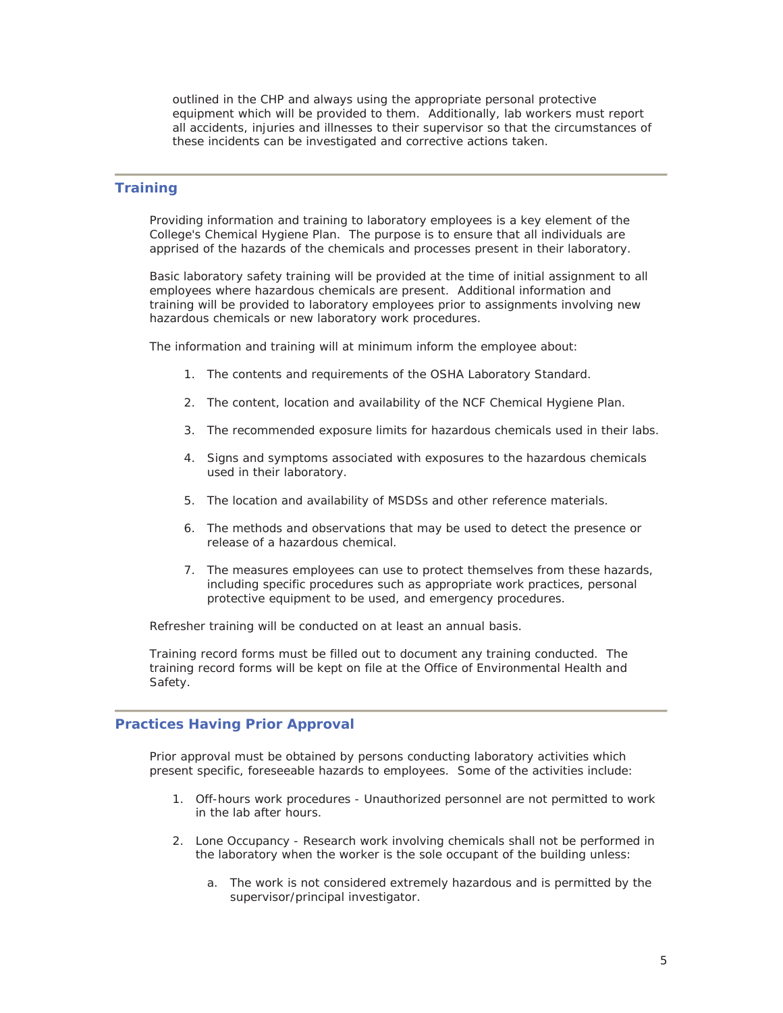outlined in the CHP and always using the appropriate personal protective equipment which will be provided to them. Additionally, lab workers must report all accidents, injuries and illnesses to their supervisor so that the circumstances of these incidents can be investigated and corrective actions taken.

#### **Training**

Providing information and training to laboratory employees is a key element of the College's Chemical Hygiene Plan. The purpose is to ensure that all individuals are apprised of the hazards of the chemicals and processes present in their laboratory.

Basic laboratory safety training will be provided at the time of initial assignment to all employees where hazardous chemicals are present. Additional information and training will be provided to laboratory employees prior to assignments involving new hazardous chemicals or new laboratory work procedures.

The information and training will at minimum inform the employee about:

- 1. The contents and requirements of the OSHA Laboratory Standard.
- 2. The content, location and availability of the NCF Chemical Hygiene Plan.
- 3. The recommended exposure limits for hazardous chemicals used in their labs.
- 4. Signs and symptoms associated with exposures to the hazardous chemicals used in their laboratory.
- 5. The location and availability of MSDSs and other reference materials.
- 6. The methods and observations that may be used to detect the presence or release of a hazardous chemical.
- 7. The measures employees can use to protect themselves from these hazards, including specific procedures such as appropriate work practices, personal protective equipment to be used, and emergency procedures.

Refresher training will be conducted on at least an annual basis.

Training record forms must be filled out to document any training conducted. The training record forms will be kept on file at the Office of Environmental Health and Safety.

#### **Practices Having Prior Approval**

Prior approval must be obtained by persons conducting laboratory activities which present specific, foreseeable hazards to employees. Some of the activities include:

- 1. Off-hours work procedures Unauthorized personnel are not permitted to work in the lab after hours.
- 2. Lone Occupancy Research work involving chemicals shall not be performed in the laboratory when the worker is the sole occupant of the building unless:
	- a. The work is not considered extremely hazardous and is permitted by the supervisor/principal investigator.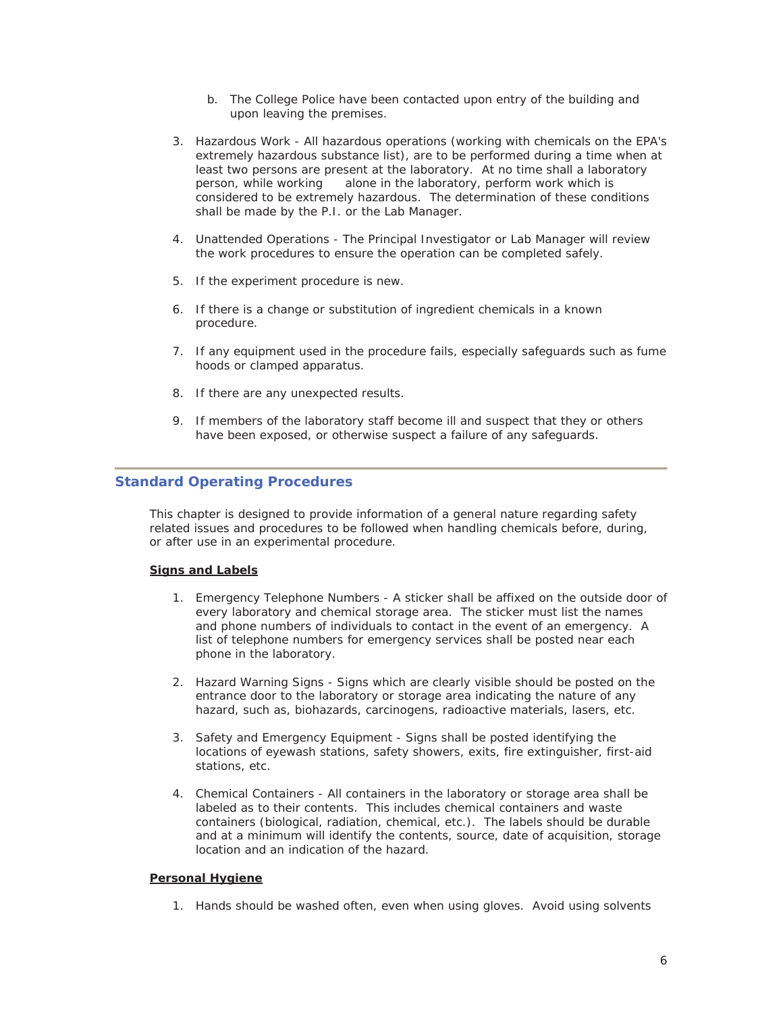- b. The College Police have been contacted upon entry of the building and upon leaving the premises.
- 3. Hazardous Work All hazardous operations (working with chemicals on the EPA's extremely hazardous substance list), are to be performed during a time when at least two persons are present at the laboratory. At no time shall a laboratory person, while working alone in the laboratory, perform work which is considered to be extremely hazardous. The determination of these conditions shall be made by the P.I. or the Lab Manager.
- 4. Unattended Operations The Principal Investigator or Lab Manager will review the work procedures to ensure the operation can be completed safely.
- 5. If the experiment procedure is new.
- 6. If there is a change or substitution of ingredient chemicals in a known procedure.
- 7. If any equipment used in the procedure fails, especially safeguards such as fume hoods or clamped apparatus.
- 8. If there are any unexpected results.
- 9. If members of the laboratory staff become ill and suspect that they or others have been exposed, or otherwise suspect a failure of any safeguards.

#### **Standard Operating Procedures**

This chapter is designed to provide information of a general nature regarding safety related issues and procedures to be followed when handling chemicals before, during, or after use in an experimental procedure.

#### **Signs and Labels**

- 1. Emergency Telephone Numbers A sticker shall be affixed on the outside door of every laboratory and chemical storage area. The sticker must list the names and phone numbers of individuals to contact in the event of an emergency. A list of telephone numbers for emergency services shall be posted near each phone in the laboratory.
- 2. Hazard Warning Signs Signs which are clearly visible should be posted on the entrance door to the laboratory or storage area indicating the nature of any hazard, such as, biohazards, carcinogens, radioactive materials, lasers, etc.
- 3. Safety and Emergency Equipment Signs shall be posted identifying the locations of eyewash stations, safety showers, exits, fire extinguisher, first-aid stations, etc.
- 4. Chemical Containers All containers in the laboratory or storage area shall be labeled as to their contents. This includes chemical containers and waste containers (biological, radiation, chemical, etc.). The labels should be durable and at a minimum will identify the contents, source, date of acquisition, storage location and an indication of the hazard.

#### **Personal Hygiene**

1. Hands should be washed often, even when using gloves. Avoid using solvents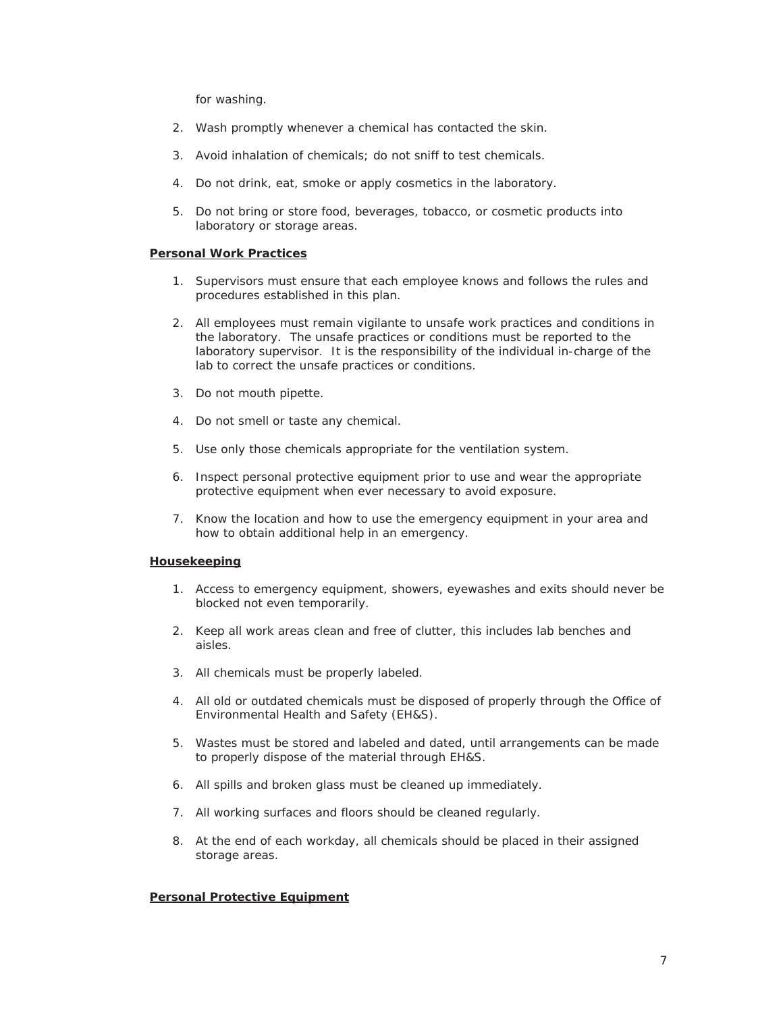for washing.

- 2. Wash promptly whenever a chemical has contacted the skin.
- 3. Avoid inhalation of chemicals; do not sniff to test chemicals.
- 4. Do not drink, eat, smoke or apply cosmetics in the laboratory.
- 5. Do not bring or store food, beverages, tobacco, or cosmetic products into laboratory or storage areas.

#### **Personal Work Practices**

- 1. Supervisors must ensure that each employee knows and follows the rules and procedures established in this plan.
- 2. All employees must remain vigilante to unsafe work practices and conditions in the laboratory. The unsafe practices or conditions must be reported to the laboratory supervisor. It is the responsibility of the individual in-charge of the lab to correct the unsafe practices or conditions.
- 3. Do not mouth pipette.
- 4. Do not smell or taste any chemical.
- 5. Use only those chemicals appropriate for the ventilation system.
- 6. Inspect personal protective equipment prior to use and wear the appropriate protective equipment when ever necessary to avoid exposure.
- 7. Know the location and how to use the emergency equipment in your area and how to obtain additional help in an emergency.

#### **Housekeeping**

- 1. Access to emergency equipment, showers, eyewashes and exits should never be blocked not even temporarily.
- 2. Keep all work areas clean and free of clutter, this includes lab benches and aisles.
- 3. All chemicals must be properly labeled.
- 4. All old or outdated chemicals must be disposed of properly through the Office of Environmental Health and Safety (EH&S).
- 5. Wastes must be stored and labeled and dated, until arrangements can be made to properly dispose of the material through EH&S.
- 6. All spills and broken glass must be cleaned up immediately.
- 7. All working surfaces and floors should be cleaned regularly.
- 8. At the end of each workday, all chemicals should be placed in their assigned storage areas.

#### **Personal Protective Equipment**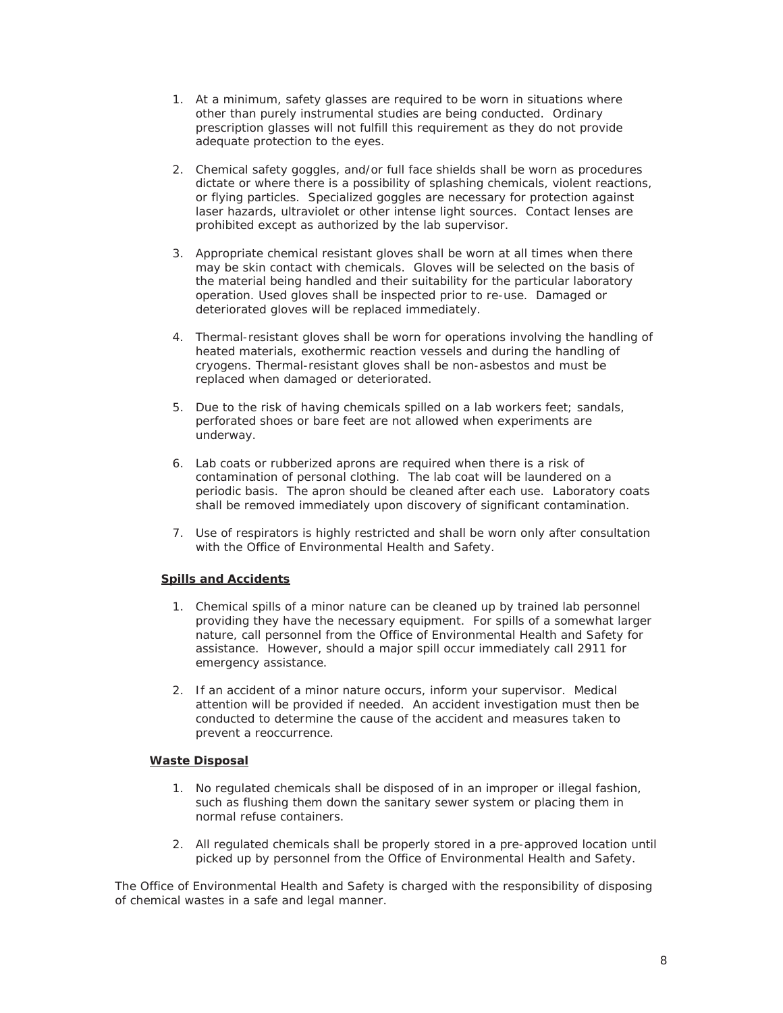- 1. At a minimum, safety glasses are required to be worn in situations where other than purely instrumental studies are being conducted. Ordinary prescription glasses will not fulfill this requirement as they do not provide adequate protection to the eyes.
- 2. Chemical safety goggles, and/or full face shields shall be worn as procedures dictate or where there is a possibility of splashing chemicals, violent reactions, or flying particles. Specialized goggles are necessary for protection against laser hazards, ultraviolet or other intense light sources. Contact lenses are prohibited except as authorized by the lab supervisor.
- 3. Appropriate chemical resistant gloves shall be worn at all times when there may be skin contact with chemicals. Gloves will be selected on the basis of the material being handled and their suitability for the particular laboratory operation. Used gloves shall be inspected prior to re-use. Damaged or deteriorated gloves will be replaced immediately.
- 4. Thermal-resistant gloves shall be worn for operations involving the handling of heated materials, exothermic reaction vessels and during the handling of cryogens. Thermal-resistant gloves shall be non-asbestos and must be replaced when damaged or deteriorated.
- 5. Due to the risk of having chemicals spilled on a lab workers feet; sandals, perforated shoes or bare feet are not allowed when experiments are underway.
- 6. Lab coats or rubberized aprons are required when there is a risk of contamination of personal clothing. The lab coat will be laundered on a periodic basis. The apron should be cleaned after each use. Laboratory coats shall be removed immediately upon discovery of significant contamination.
- 7. Use of respirators is highly restricted and shall be worn only after consultation with the Office of Environmental Health and Safety.

#### **Spills and Accidents**

- 1. Chemical spills of a minor nature can be cleaned up by trained lab personnel providing they have the necessary equipment. For spills of a somewhat larger nature, call personnel from the Office of Environmental Health and Safety for assistance. However, should a major spill occur immediately call 2911 for emergency assistance.
- 2. If an accident of a minor nature occurs, inform your supervisor. Medical attention will be provided if needed. An accident investigation must then be conducted to determine the cause of the accident and measures taken to prevent a reoccurrence.

#### **Waste Disposal**

- 1. No regulated chemicals shall be disposed of in an improper or illegal fashion, such as flushing them down the sanitary sewer system or placing them in normal refuse containers.
- 2. All regulated chemicals shall be properly stored in a pre-approved location until picked up by personnel from the Office of Environmental Health and Safety.

The Office of Environmental Health and Safety is charged with the responsibility of disposing of chemical wastes in a safe and legal manner.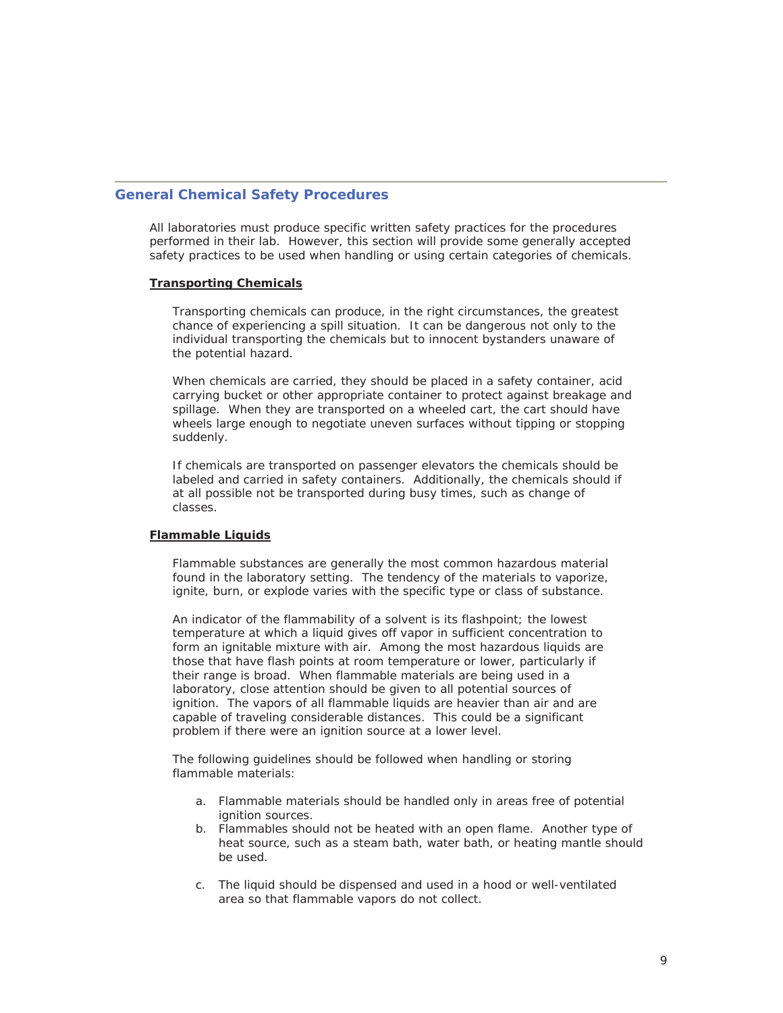#### **General Chemical Safety Procedures**

All laboratories must produce specific written safety practices for the procedures performed in their lab. However, this section will provide some generally accepted safety practices to be used when handling or using certain categories of chemicals.

#### **Transporting Chemicals**

Transporting chemicals can produce, in the right circumstances, the greatest chance of experiencing a spill situation. It can be dangerous not only to the individual transporting the chemicals but to innocent bystanders unaware of the potential hazard.

When chemicals are carried, they should be placed in a safety container, acid carrying bucket or other appropriate container to protect against breakage and spillage. When they are transported on a wheeled cart, the cart should have wheels large enough to negotiate uneven surfaces without tipping or stopping suddenly.

If chemicals are transported on passenger elevators the chemicals should be labeled and carried in safety containers. Additionally, the chemicals should if at all possible not be transported during busy times, such as change of classes.

#### **Flammable Liquids**

Flammable substances are generally the most common hazardous material found in the laboratory setting. The tendency of the materials to vaporize, ignite, burn, or explode varies with the specific type or class of substance.

An indicator of the flammability of a solvent is its flashpoint; the lowest temperature at which a liquid gives off vapor in sufficient concentration to form an ignitable mixture with air. Among the most hazardous liquids are those that have flash points at room temperature or lower, particularly if their range is broad. When flammable materials are being used in a laboratory, close attention should be given to all potential sources of ignition. The vapors of all flammable liquids are heavier than air and are capable of traveling considerable distances. This could be a significant problem if there were an ignition source at a lower level.

The following guidelines should be followed when handling or storing flammable materials:

- a. Flammable materials should be handled only in areas free of potential ignition sources.
- b. Flammables should not be heated with an open flame. Another type of heat source, such as a steam bath, water bath, or heating mantle should be used.
- c. The liquid should be dispensed and used in a hood or well-ventilated area so that flammable vapors do not collect.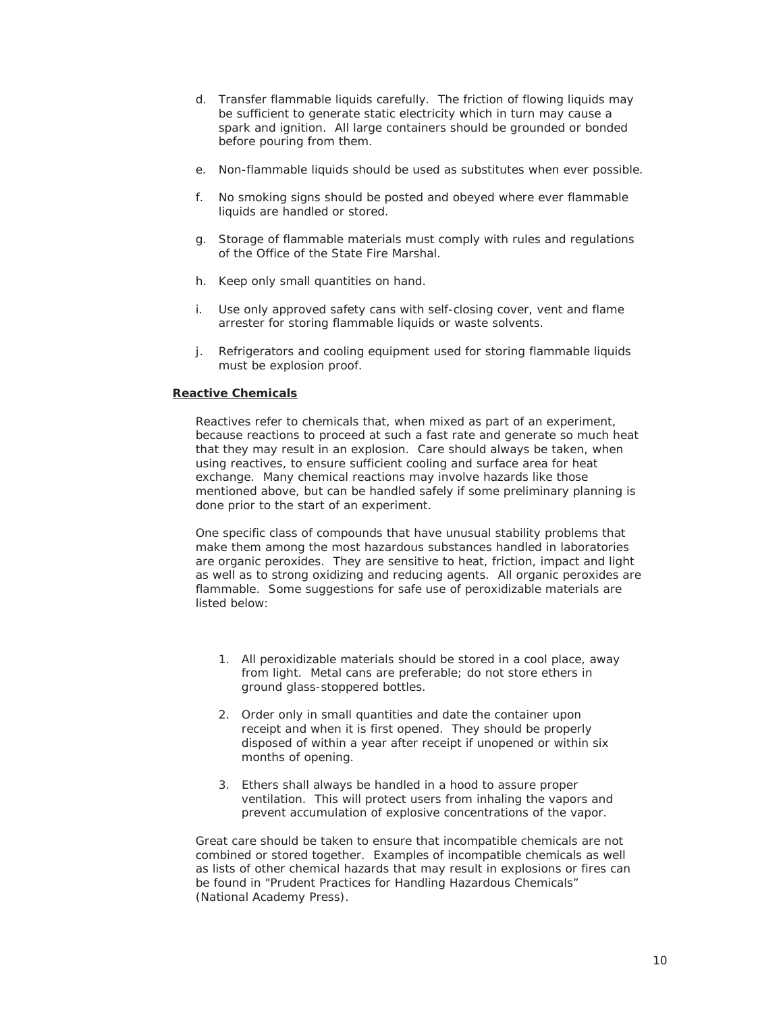- d. Transfer flammable liquids carefully. The friction of flowing liquids may be sufficient to generate static electricity which in turn may cause a spark and ignition. All large containers should be grounded or bonded before pouring from them.
- e. Non-flammable liquids should be used as substitutes when ever possible.
- f. No smoking signs should be posted and obeyed where ever flammable liquids are handled or stored.
- g. Storage of flammable materials must comply with rules and regulations of the Office of the State Fire Marshal.
- h. Keep only small quantities on hand.
- i. Use only approved safety cans with self-closing cover, vent and flame arrester for storing flammable liquids or waste solvents.
- j. Refrigerators and cooling equipment used for storing flammable liquids must be explosion proof.

#### **Reactive Chemicals**

Reactives refer to chemicals that, when mixed as part of an experiment, because reactions to proceed at such a fast rate and generate so much heat that they may result in an explosion. Care should always be taken, when using reactives, to ensure sufficient cooling and surface area for heat exchange. Many chemical reactions may involve hazards like those mentioned above, but can be handled safely if some preliminary planning is done prior to the start of an experiment.

One specific class of compounds that have unusual stability problems that make them among the most hazardous substances handled in laboratories are organic peroxides. They are sensitive to heat, friction, impact and light as well as to strong oxidizing and reducing agents. All organic peroxides are flammable. Some suggestions for safe use of peroxidizable materials are listed below:

- 1. All peroxidizable materials should be stored in a cool place, away from light. Metal cans are preferable; do not store ethers in ground glass-stoppered bottles.
- 2. Order only in small quantities and date the container upon receipt and when it is first opened. They should be properly disposed of within a year after receipt if unopened or within six months of opening.
- 3. Ethers shall always be handled in a hood to assure proper ventilation. This will protect users from inhaling the vapors and prevent accumulation of explosive concentrations of the vapor.

Great care should be taken to ensure that incompatible chemicals are not combined or stored together. Examples of incompatible chemicals as well as lists of other chemical hazards that may result in explosions or fires can be found in "Prudent Practices for Handling Hazardous Chemicals" (National Academy Press).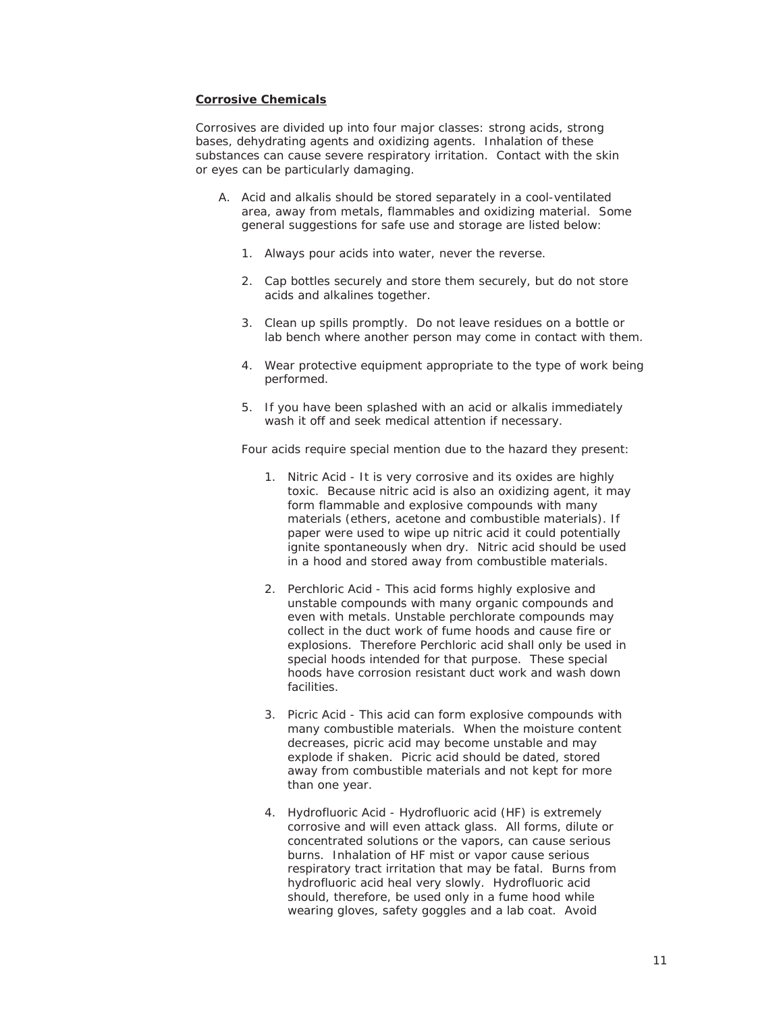#### **Corrosive Chemicals**

Corrosives are divided up into four major classes: strong acids, strong bases, dehydrating agents and oxidizing agents. Inhalation of these substances can cause severe respiratory irritation. Contact with the skin or eyes can be particularly damaging.

- A. Acid and alkalis should be stored separately in a cool-ventilated area, away from metals, flammables and oxidizing material. Some general suggestions for safe use and storage are listed below:
	- 1. Always pour acids into water, never the reverse.
	- 2. Cap bottles securely and store them securely, but do not store acids and alkalines together.
	- 3. Clean up spills promptly. Do not leave residues on a bottle or lab bench where another person may come in contact with them.
	- 4. Wear protective equipment appropriate to the type of work being performed.
	- 5. If you have been splashed with an acid or alkalis immediately wash it off and seek medical attention if necessary.

Four acids require special mention due to the hazard they present:

- 1. Nitric Acid It is very corrosive and its oxides are highly toxic. Because nitric acid is also an oxidizing agent, it may form flammable and explosive compounds with many materials (ethers, acetone and combustible materials). If paper were used to wipe up nitric acid it could potentially ignite spontaneously when dry. Nitric acid should be used in a hood and stored away from combustible materials.
- 2. Perchloric Acid This acid forms highly explosive and unstable compounds with many organic compounds and even with metals. Unstable perchlorate compounds may collect in the duct work of fume hoods and cause fire or explosions. Therefore Perchloric acid shall only be used in special hoods intended for that purpose. These special hoods have corrosion resistant duct work and wash down facilities.
- 3. Picric Acid This acid can form explosive compounds with many combustible materials. When the moisture content decreases, picric acid may become unstable and may explode if shaken. Picric acid should be dated, stored away from combustible materials and not kept for more than one year.
- 4. Hydrofluoric Acid Hydrofluoric acid (HF) is extremely corrosive and will even attack glass. All forms, dilute or concentrated solutions or the vapors, can cause serious burns. Inhalation of HF mist or vapor cause serious respiratory tract irritation that may be fatal. Burns from hydrofluoric acid heal very slowly. Hydrofluoric acid should, therefore, be used only in a fume hood while wearing gloves, safety goggles and a lab coat. Avoid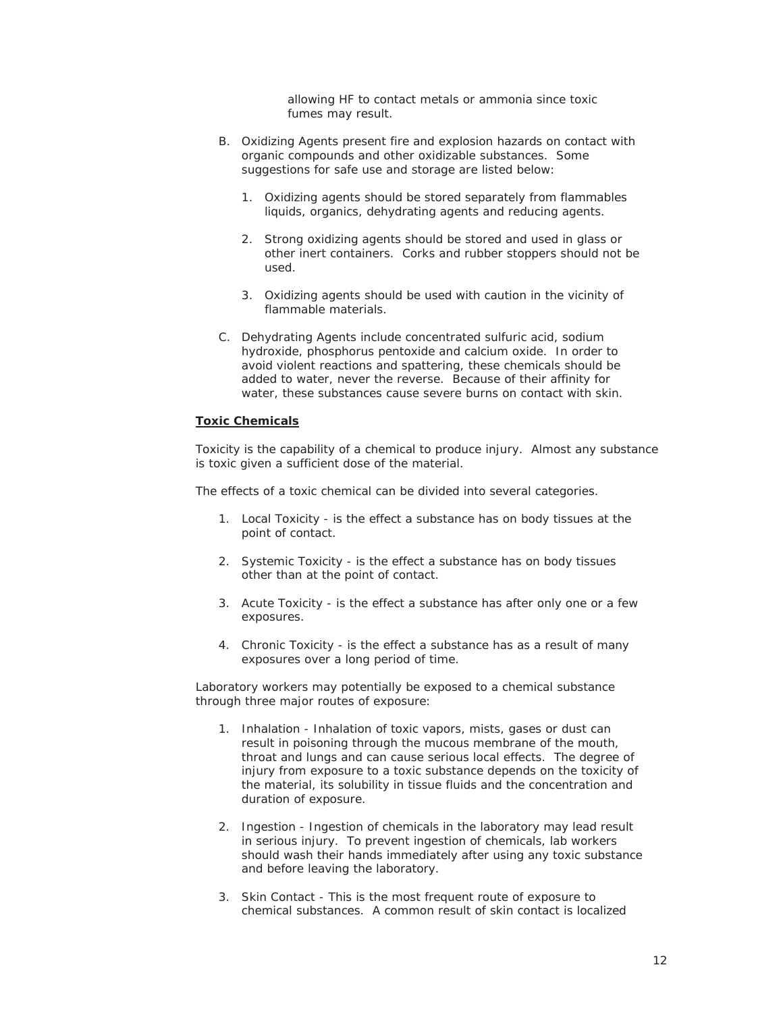allowing HF to contact metals or ammonia since toxic fumes may result.

- B. Oxidizing Agents present fire and explosion hazards on contact with organic compounds and other oxidizable substances. Some suggestions for safe use and storage are listed below:
	- 1. Oxidizing agents should be stored separately from flammables liquids, organics, dehydrating agents and reducing agents.
	- 2. Strong oxidizing agents should be stored and used in glass or other inert containers. Corks and rubber stoppers should not be used.
	- 3. Oxidizing agents should be used with caution in the vicinity of flammable materials.
- C. Dehydrating Agents include concentrated sulfuric acid, sodium hydroxide, phosphorus pentoxide and calcium oxide. In order to avoid violent reactions and spattering, these chemicals should be added to water, never the reverse. Because of their affinity for water, these substances cause severe burns on contact with skin.

#### **Toxic Chemicals**

Toxicity is the capability of a chemical to produce injury. Almost any substance is toxic given a sufficient dose of the material.

The effects of a toxic chemical can be divided into several categories.

- 1. Local Toxicity is the effect a substance has on body tissues at the point of contact.
- 2. Systemic Toxicity is the effect a substance has on body tissues other than at the point of contact.
- 3. Acute Toxicity is the effect a substance has after only one or a few exposures.
- 4. Chronic Toxicity is the effect a substance has as a result of many exposures over a long period of time.

Laboratory workers may potentially be exposed to a chemical substance through three major routes of exposure:

- 1. Inhalation Inhalation of toxic vapors, mists, gases or dust can result in poisoning through the mucous membrane of the mouth, throat and lungs and can cause serious local effects. The degree of injury from exposure to a toxic substance depends on the toxicity of the material, its solubility in tissue fluids and the concentration and duration of exposure.
- 2. Ingestion Ingestion of chemicals in the laboratory may lead result in serious injury. To prevent ingestion of chemicals, lab workers should wash their hands immediately after using any toxic substance and before leaving the laboratory.
- 3. Skin Contact This is the most frequent route of exposure to chemical substances. A common result of skin contact is localized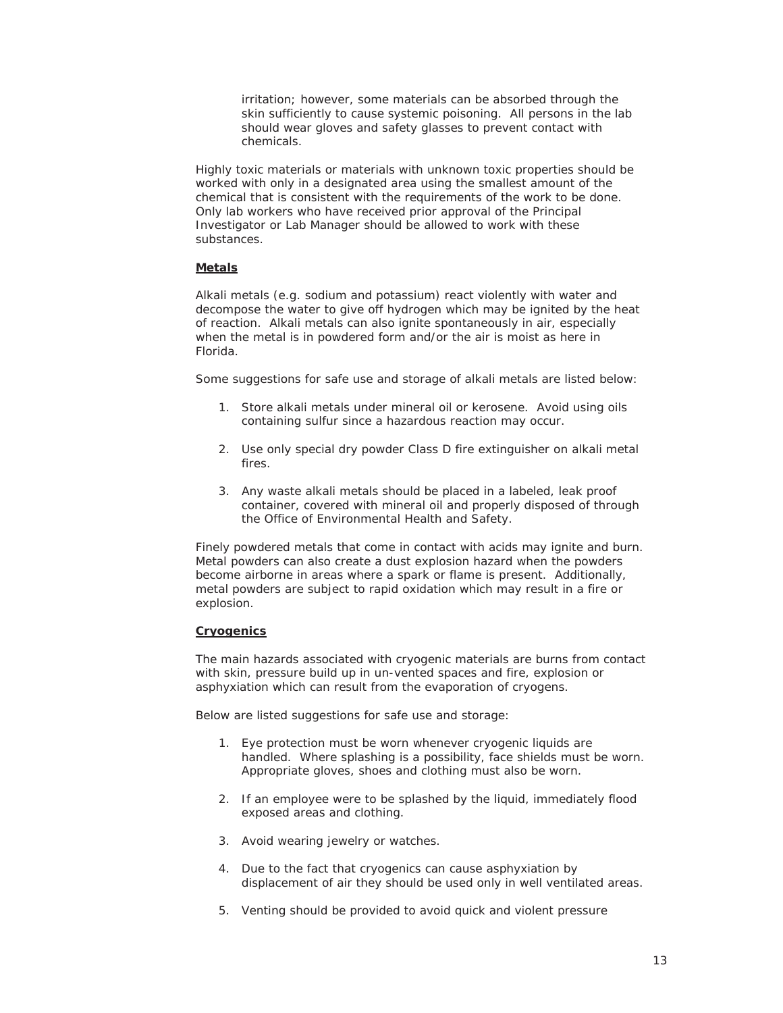irritation; however, some materials can be absorbed through the skin sufficiently to cause systemic poisoning. All persons in the lab should wear gloves and safety glasses to prevent contact with chemicals.

Highly toxic materials or materials with unknown toxic properties should be worked with only in a designated area using the smallest amount of the chemical that is consistent with the requirements of the work to be done. Only lab workers who have received prior approval of the Principal Investigator or Lab Manager should be allowed to work with these substances.

#### **Metals**

Alkali metals (e.g. sodium and potassium) react violently with water and decompose the water to give off hydrogen which may be ignited by the heat of reaction. Alkali metals can also ignite spontaneously in air, especially when the metal is in powdered form and/or the air is moist as here in Florida.

Some suggestions for safe use and storage of alkali metals are listed below:

- 1. Store alkali metals under mineral oil or kerosene. Avoid using oils containing sulfur since a hazardous reaction may occur.
- 2. Use only special dry powder Class D fire extinguisher on alkali metal fires.
- 3. Any waste alkali metals should be placed in a labeled, leak proof container, covered with mineral oil and properly disposed of through the Office of Environmental Health and Safety.

Finely powdered metals that come in contact with acids may ignite and burn. Metal powders can also create a dust explosion hazard when the powders become airborne in areas where a spark or flame is present. Additionally, metal powders are subject to rapid oxidation which may result in a fire or explosion.

#### **Cryogenics**

The main hazards associated with cryogenic materials are burns from contact with skin, pressure build up in un-vented spaces and fire, explosion or asphyxiation which can result from the evaporation of cryogens.

Below are listed suggestions for safe use and storage:

- 1. Eye protection must be worn whenever cryogenic liquids are handled. Where splashing is a possibility, face shields must be worn. Appropriate gloves, shoes and clothing must also be worn.
- 2. If an employee were to be splashed by the liquid, immediately flood exposed areas and clothing.
- 3. Avoid wearing jewelry or watches.
- 4. Due to the fact that cryogenics can cause asphyxiation by displacement of air they should be used only in well ventilated areas.
- 5. Venting should be provided to avoid quick and violent pressure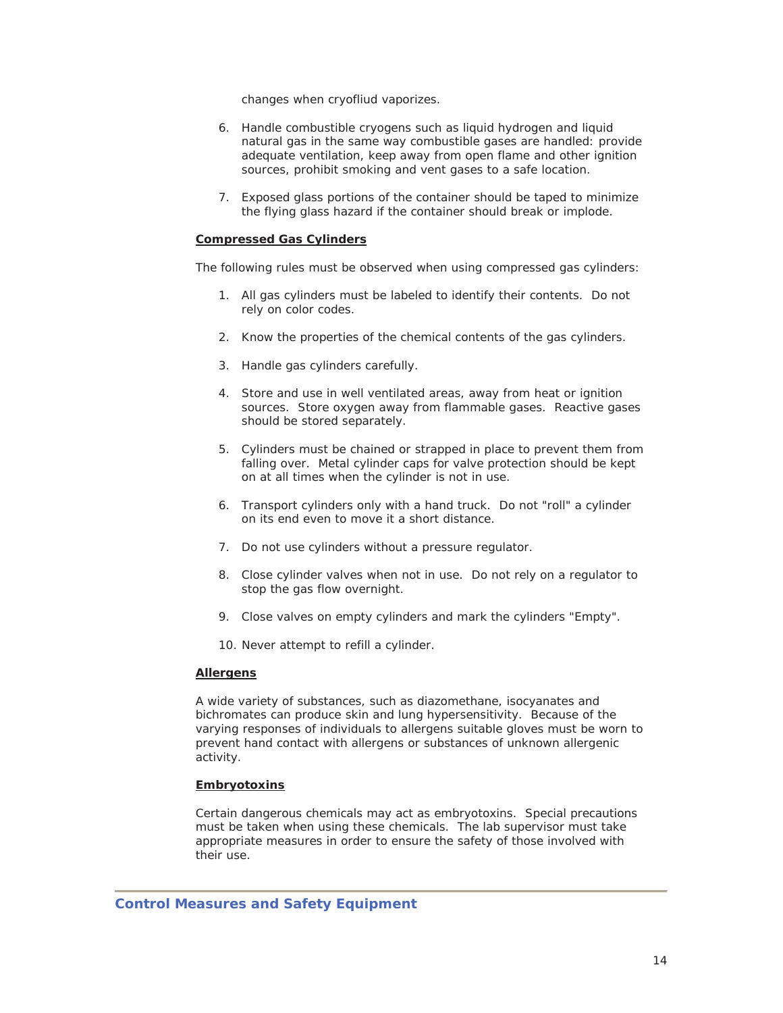changes when cryofliud vaporizes.

- 6. Handle combustible cryogens such as liquid hydrogen and liquid natural gas in the same way combustible gases are handled: provide adequate ventilation, keep away from open flame and other ignition sources, prohibit smoking and vent gases to a safe location.
- 7. Exposed glass portions of the container should be taped to minimize the flying glass hazard if the container should break or implode.

#### **Compressed Gas Cylinders**

The following rules must be observed when using compressed gas cylinders:

- 1. All gas cylinders must be labeled to identify their contents. Do not rely on color codes.
- 2. Know the properties of the chemical contents of the gas cylinders.
- 3. Handle gas cylinders carefully.
- 4. Store and use in well ventilated areas, away from heat or ignition sources. Store oxygen away from flammable gases. Reactive gases should be stored separately.
- 5. Cylinders must be chained or strapped in place to prevent them from falling over. Metal cylinder caps for valve protection should be kept on at all times when the cylinder is not in use.
- 6. Transport cylinders only with a hand truck. Do not "roll" a cylinder on its end even to move it a short distance.
- 7. Do not use cylinders without a pressure regulator.
- 8. Close cylinder valves when not in use. Do not rely on a regulator to stop the gas flow overnight.
- 9. Close valves on empty cylinders and mark the cylinders "Empty".
- 10. Never attempt to refill a cylinder.

#### **Allergens**

A wide variety of substances, such as diazomethane, isocyanates and bichromates can produce skin and lung hypersensitivity. Because of the varying responses of individuals to allergens suitable gloves must be worn to prevent hand contact with allergens or substances of unknown allergenic activity.

#### **Embryotoxins**

Certain dangerous chemicals may act as embryotoxins. Special precautions must be taken when using these chemicals. The lab supervisor must take appropriate measures in order to ensure the safety of those involved with their use.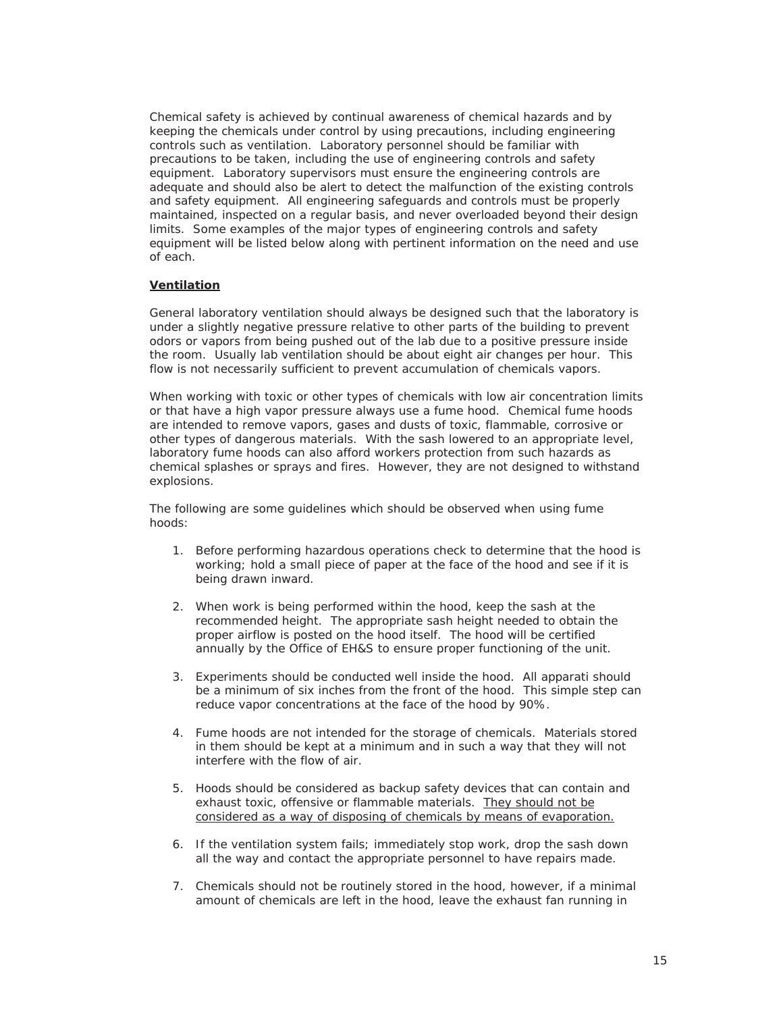Chemical safety is achieved by continual awareness of chemical hazards and by keeping the chemicals under control by using precautions, including engineering controls such as ventilation. Laboratory personnel should be familiar with precautions to be taken, including the use of engineering controls and safety equipment. Laboratory supervisors must ensure the engineering controls are adequate and should also be alert to detect the malfunction of the existing controls and safety equipment. All engineering safeguards and controls must be properly maintained, inspected on a regular basis, and never overloaded beyond their design limits. Some examples of the major types of engineering controls and safety equipment will be listed below along with pertinent information on the need and use of each.

#### **Ventilation**

General laboratory ventilation should always be designed such that the laboratory is under a slightly negative pressure relative to other parts of the building to prevent odors or vapors from being pushed out of the lab due to a positive pressure inside the room. Usually lab ventilation should be about eight air changes per hour. This flow is not necessarily sufficient to prevent accumulation of chemicals vapors.

When working with toxic or other types of chemicals with low air concentration limits or that have a high vapor pressure always use a fume hood. Chemical fume hoods are intended to remove vapors, gases and dusts of toxic, flammable, corrosive or other types of dangerous materials. With the sash lowered to an appropriate level, laboratory fume hoods can also afford workers protection from such hazards as chemical splashes or sprays and fires. However, they are not designed to withstand explosions.

The following are some guidelines which should be observed when using fume hoods:

- 1. Before performing hazardous operations check to determine that the hood is working; hold a small piece of paper at the face of the hood and see if it is being drawn inward.
- 2. When work is being performed within the hood, keep the sash at the recommended height. The appropriate sash height needed to obtain the proper airflow is posted on the hood itself. The hood will be certified annually by the Office of EH&S to ensure proper functioning of the unit.
- 3. Experiments should be conducted well inside the hood. All apparati should be a minimum of six inches from the front of the hood. This simple step can reduce vapor concentrations at the face of the hood by 90%.
- 4. Fume hoods are not intended for the storage of chemicals. Materials stored in them should be kept at a minimum and in such a way that they will not interfere with the flow of air.
- 5. Hoods should be considered as backup safety devices that can contain and exhaust toxic, offensive or flammable materials. They should not be considered as a way of disposing of chemicals by means of evaporation.
- 6. If the ventilation system fails; immediately stop work, drop the sash down all the way and contact the appropriate personnel to have repairs made.
- 7. Chemicals should not be routinely stored in the hood, however, if a minimal amount of chemicals are left in the hood, leave the exhaust fan running in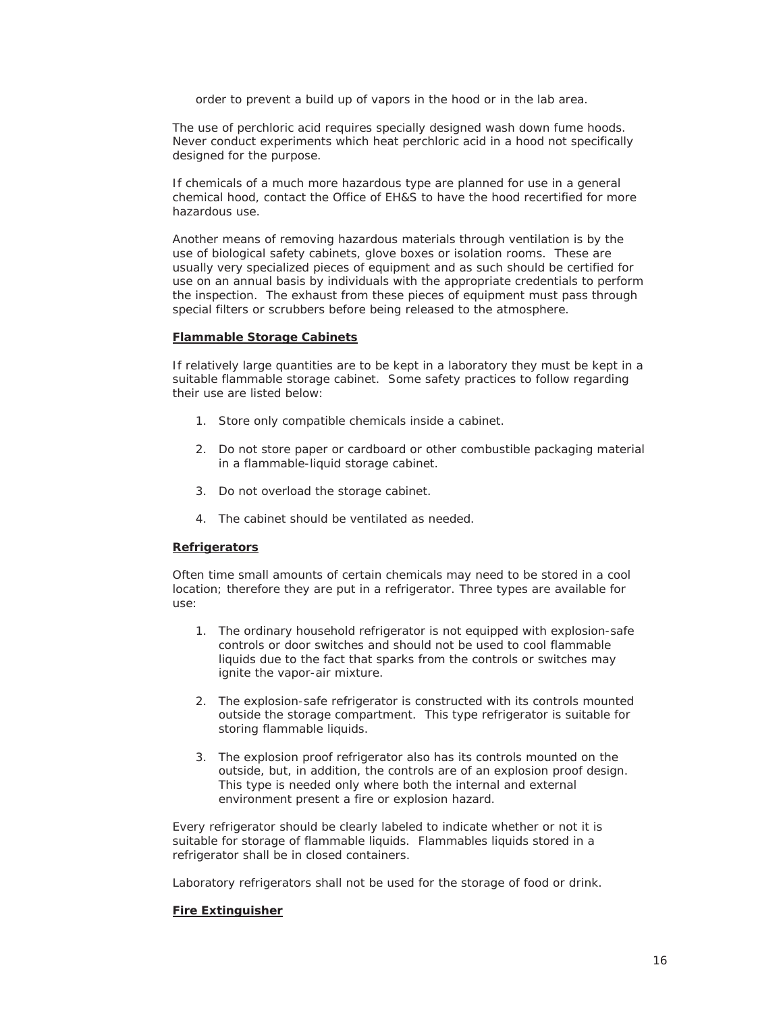order to prevent a build up of vapors in the hood or in the lab area.

The use of perchloric acid requires specially designed wash down fume hoods. Never conduct experiments which heat perchloric acid in a hood not specifically designed for the purpose.

If chemicals of a much more hazardous type are planned for use in a general chemical hood, contact the Office of EH&S to have the hood recertified for more hazardous use.

Another means of removing hazardous materials through ventilation is by the use of biological safety cabinets, glove boxes or isolation rooms. These are usually very specialized pieces of equipment and as such should be certified for use on an annual basis by individuals with the appropriate credentials to perform the inspection. The exhaust from these pieces of equipment must pass through special filters or scrubbers before being released to the atmosphere.

#### **Flammable Storage Cabinets**

If relatively large quantities are to be kept in a laboratory they must be kept in a suitable flammable storage cabinet. Some safety practices to follow regarding their use are listed below:

- 1. Store only compatible chemicals inside a cabinet.
- 2. Do not store paper or cardboard or other combustible packaging material in a flammable-liquid storage cabinet.
- 3. Do not overload the storage cabinet.
- 4. The cabinet should be ventilated as needed.

#### **Refrigerators**

Often time small amounts of certain chemicals may need to be stored in a cool location; therefore they are put in a refrigerator. Three types are available for use:

- 1. The ordinary household refrigerator is not equipped with explosion-safe controls or door switches and should not be used to cool flammable liquids due to the fact that sparks from the controls or switches may ignite the vapor-air mixture.
- 2. The explosion-safe refrigerator is constructed with its controls mounted outside the storage compartment. This type refrigerator is suitable for storing flammable liquids.
- 3. The explosion proof refrigerator also has its controls mounted on the outside, but, in addition, the controls are of an explosion proof design. This type is needed only where both the internal and external environment present a fire or explosion hazard.

Every refrigerator should be clearly labeled to indicate whether or not it is suitable for storage of flammable liquids. Flammables liquids stored in a refrigerator shall be in closed containers.

Laboratory refrigerators shall not be used for the storage of food or drink.

#### **Fire Extinguisher**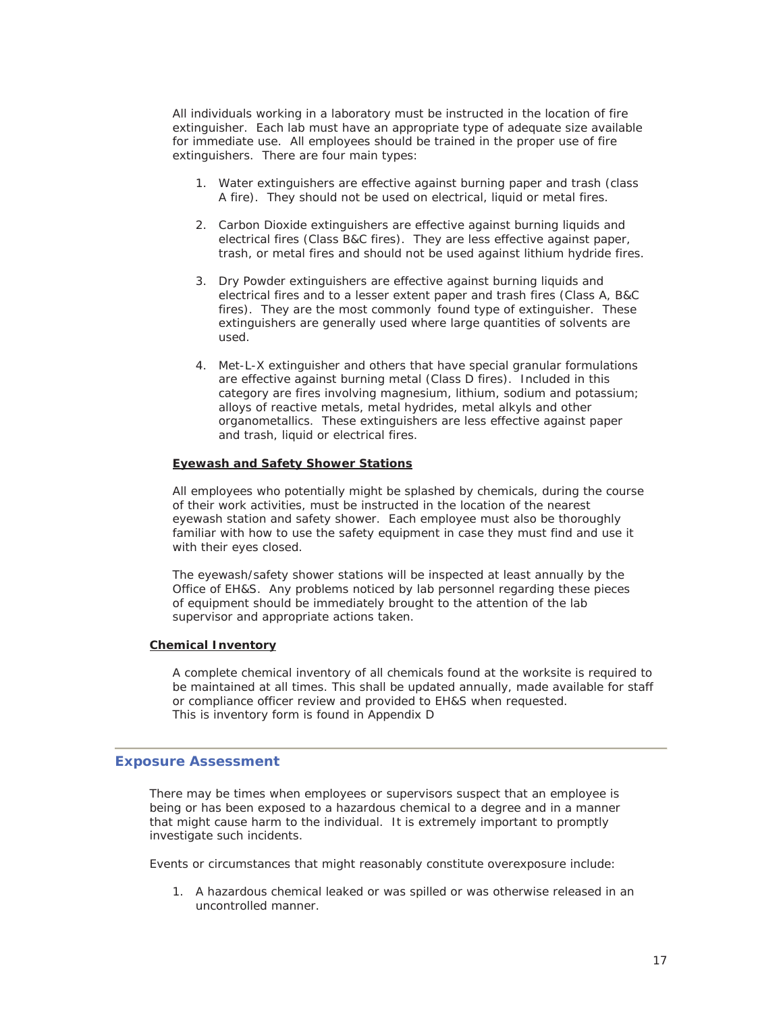All individuals working in a laboratory must be instructed in the location of fire extinguisher. Each lab must have an appropriate type of adequate size available for immediate use. All employees should be trained in the proper use of fire extinguishers. There are four main types:

- 1. Water extinguishers are effective against burning paper and trash (class A fire). They should not be used on electrical, liquid or metal fires.
- 2. Carbon Dioxide extinguishers are effective against burning liquids and electrical fires (Class B&C fires). They are less effective against paper, trash, or metal fires and should not be used against lithium hydride fires.
- 3. Dry Powder extinguishers are effective against burning liquids and electrical fires and to a lesser extent paper and trash fires (Class A, B&C fires). They are the most commonly found type of extinguisher. These extinguishers are generally used where large quantities of solvents are used.
- 4. Met-L-X extinguisher and others that have special granular formulations are effective against burning metal (Class D fires). Included in this category are fires involving magnesium, lithium, sodium and potassium; alloys of reactive metals, metal hydrides, metal alkyls and other organometallics. These extinguishers are less effective against paper and trash, liquid or electrical fires.

#### **Eyewash and Safety Shower Stations**

All employees who potentially might be splashed by chemicals, during the course of their work activities, must be instructed in the location of the nearest eyewash station and safety shower. Each employee must also be thoroughly familiar with how to use the safety equipment in case they must find and use it with their eyes closed.

The eyewash/safety shower stations will be inspected at least annually by the Office of EH&S. Any problems noticed by lab personnel regarding these pieces of equipment should be immediately brought to the attention of the lab supervisor and appropriate actions taken.

#### **Chemical Inventory**

A complete chemical inventory of all chemicals found at the worksite is required to be maintained at all times. This shall be updated annually, made available for staff or compliance officer review and provided to EH&S when requested. This is inventory form is found in Appendix D

#### **Exposure Assessment**

There may be times when employees or supervisors suspect that an employee is being or has been exposed to a hazardous chemical to a degree and in a manner that might cause harm to the individual. It is extremely important to promptly investigate such incidents.

Events or circumstances that might reasonably constitute overexposure include:

1. A hazardous chemical leaked or was spilled or was otherwise released in an uncontrolled manner.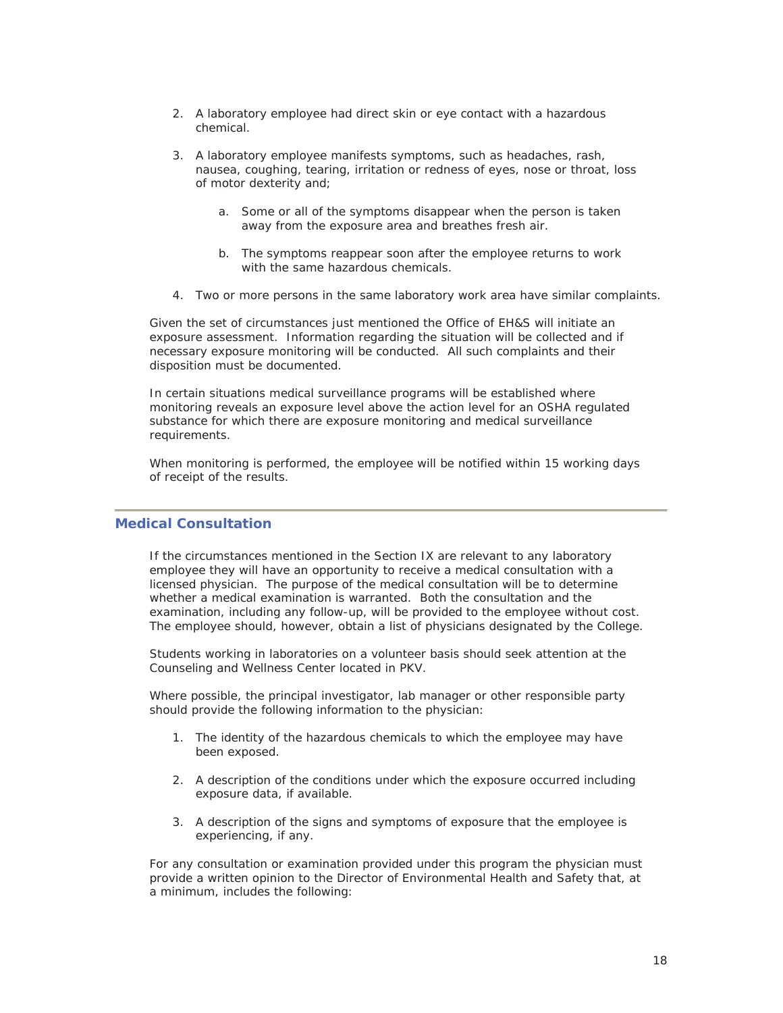- 2. A laboratory employee had direct skin or eye contact with a hazardous chemical.
- 3. A laboratory employee manifests symptoms, such as headaches, rash, nausea, coughing, tearing, irritation or redness of eyes, nose or throat, loss of motor dexterity and;
	- a. Some or all of the symptoms disappear when the person is taken away from the exposure area and breathes fresh air.
	- b. The symptoms reappear soon after the employee returns to work with the same hazardous chemicals.
- 4. Two or more persons in the same laboratory work area have similar complaints.

Given the set of circumstances just mentioned the Office of EH&S will initiate an exposure assessment. Information regarding the situation will be collected and if necessary exposure monitoring will be conducted. All such complaints and their disposition must be documented.

In certain situations medical surveillance programs will be established where monitoring reveals an exposure level above the action level for an OSHA regulated substance for which there are exposure monitoring and medical surveillance requirements.

When monitoring is performed, the employee will be notified within 15 working days of receipt of the results.

#### **Medical Consultation**

If the circumstances mentioned in the Section IX are relevant to any laboratory employee they will have an opportunity to receive a medical consultation with a licensed physician. The purpose of the medical consultation will be to determine whether a medical examination is warranted. Both the consultation and the examination, including any follow-up, will be provided to the employee without cost. The employee should, however, obtain a list of physicians designated by the College.

Students working in laboratories on a volunteer basis should seek attention at the Counseling and Wellness Center located in PKV.

Where possible, the principal investigator, lab manager or other responsible party should provide the following information to the physician:

- 1. The identity of the hazardous chemicals to which the employee may have been exposed.
- 2. A description of the conditions under which the exposure occurred including exposure data, if available.
- 3. A description of the signs and symptoms of exposure that the employee is experiencing, if any.

For any consultation or examination provided under this program the physician must provide a written opinion to the Director of Environmental Health and Safety that, at a minimum, includes the following: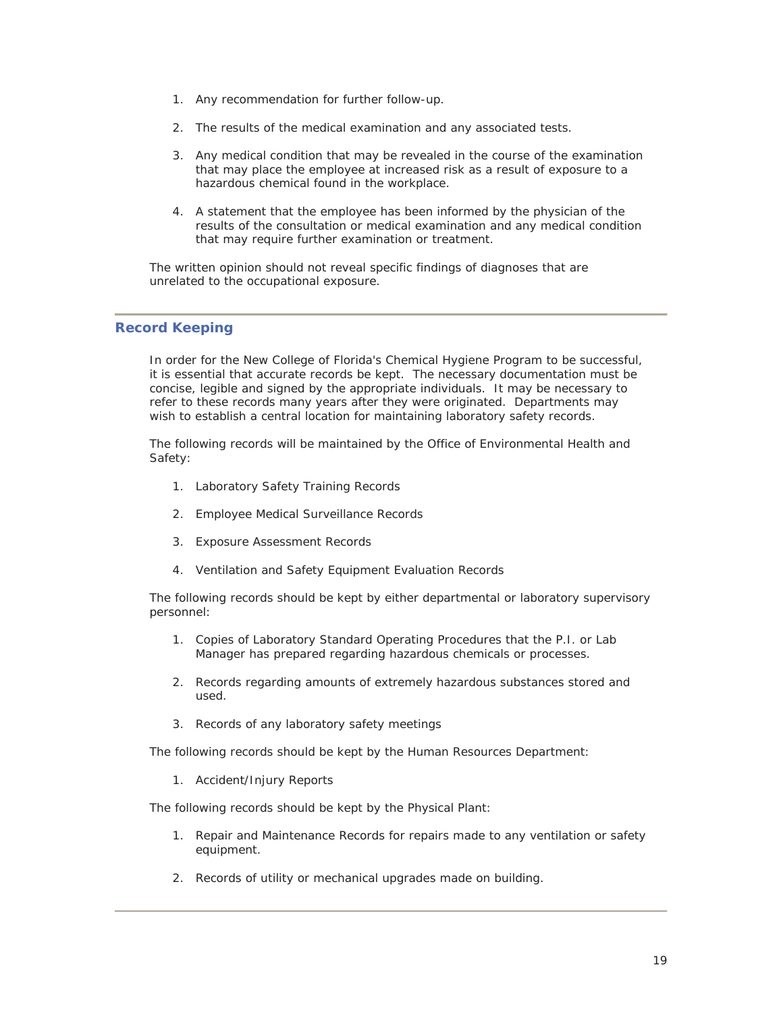- 1. Any recommendation for further follow-up.
- 2. The results of the medical examination and any associated tests.
- 3. Any medical condition that may be revealed in the course of the examination that may place the employee at increased risk as a result of exposure to a hazardous chemical found in the workplace.
- 4. A statement that the employee has been informed by the physician of the results of the consultation or medical examination and any medical condition that may require further examination or treatment.

The written opinion should not reveal specific findings of diagnoses that are unrelated to the occupational exposure.

#### **Record Keeping**

In order for the New College of Florida's Chemical Hygiene Program to be successful, it is essential that accurate records be kept. The necessary documentation must be concise, legible and signed by the appropriate individuals. It may be necessary to refer to these records many years after they were originated. Departments may wish to establish a central location for maintaining laboratory safety records.

The following records will be maintained by the Office of Environmental Health and Safety:

- 1. Laboratory Safety Training Records
- 2. Employee Medical Surveillance Records
- 3. Exposure Assessment Records
- 4. Ventilation and Safety Equipment Evaluation Records

The following records should be kept by either departmental or laboratory supervisory personnel:

- 1. Copies of Laboratory Standard Operating Procedures that the P.I. or Lab Manager has prepared regarding hazardous chemicals or processes.
- 2. Records regarding amounts of extremely hazardous substances stored and used.
- 3. Records of any laboratory safety meetings

The following records should be kept by the Human Resources Department:

1. Accident/Injury Reports

The following records should be kept by the Physical Plant:

- 1. Repair and Maintenance Records for repairs made to any ventilation or safety equipment.
- 2. Records of utility or mechanical upgrades made on building.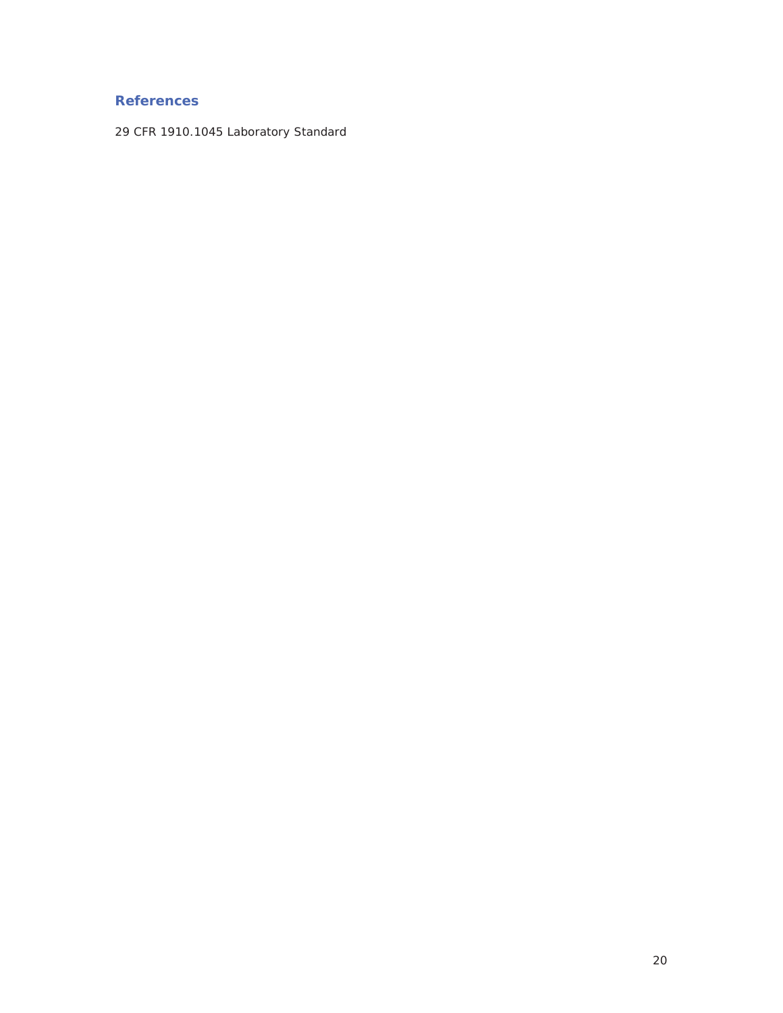### **References**

29 CFR 1910.1045 Laboratory Standard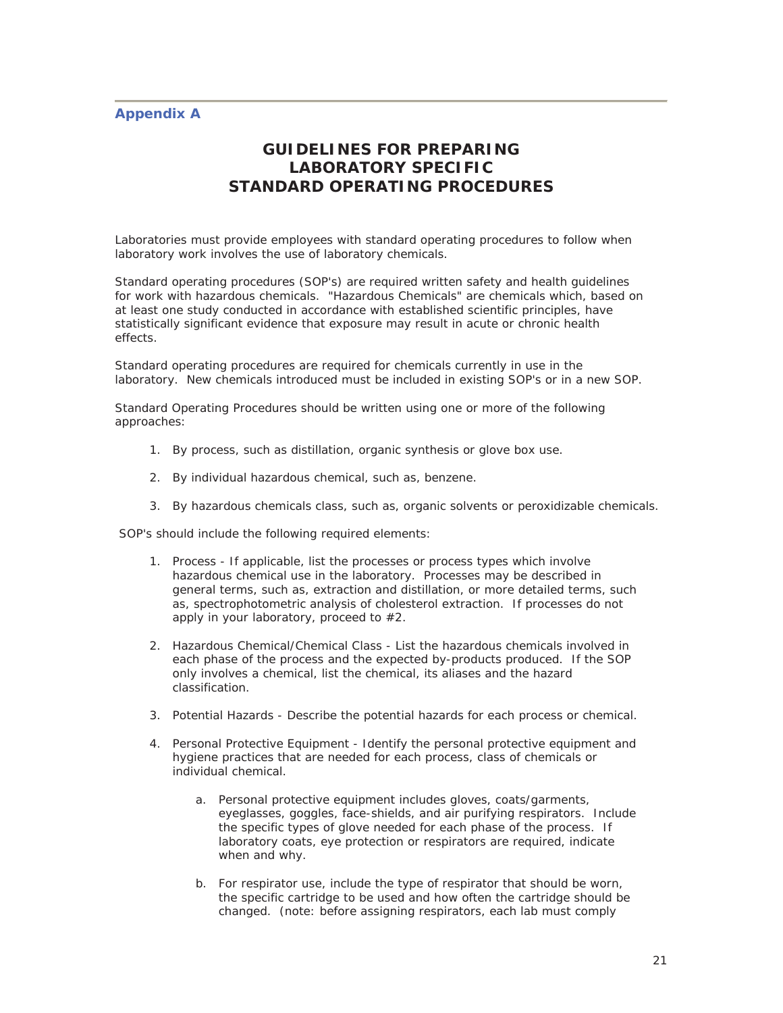#### **Appendix A**

### **GUIDELINES FOR PREPARING LABORATORY SPECIFIC STANDARD OPERATING PROCEDURES**

Laboratories must provide employees with standard operating procedures to follow when laboratory work involves the use of laboratory chemicals.

Standard operating procedures (SOP's) are required written safety and health guidelines for work with hazardous chemicals. "Hazardous Chemicals" are chemicals which, based on at least one study conducted in accordance with established scientific principles, have statistically significant evidence that exposure may result in acute or chronic health effects.

Standard operating procedures are required for chemicals currently in use in the laboratory. New chemicals introduced must be included in existing SOP's or in a new SOP.

Standard Operating Procedures should be written using one or more of the following approaches:

- 1. By process, such as distillation, organic synthesis or glove box use.
- 2. By individual hazardous chemical, such as, benzene.
- 3. By hazardous chemicals class, such as, organic solvents or peroxidizable chemicals.

SOP's should include the following required elements:

- 1. Process If applicable, list the processes or process types which involve hazardous chemical use in the laboratory. Processes may be described in general terms, such as, extraction and distillation, or more detailed terms, such as, spectrophotometric analysis of cholesterol extraction. If processes do not apply in your laboratory, proceed to #2.
- 2. Hazardous Chemical/Chemical Class List the hazardous chemicals involved in each phase of the process and the expected by-products produced. If the SOP only involves a chemical, list the chemical, its aliases and the hazard classification.
- 3. Potential Hazards Describe the potential hazards for each process or chemical.
- 4. Personal Protective Equipment Identify the personal protective equipment and hygiene practices that are needed for each process, class of chemicals or individual chemical.
	- a. Personal protective equipment includes gloves, coats/garments, eyeglasses, goggles, face-shields, and air purifying respirators. Include the specific types of glove needed for each phase of the process. If laboratory coats, eye protection or respirators are required, indicate when and why.
	- b. For respirator use, include the type of respirator that should be worn, the specific cartridge to be used and how often the cartridge should be changed. (note: before assigning respirators, each lab must comply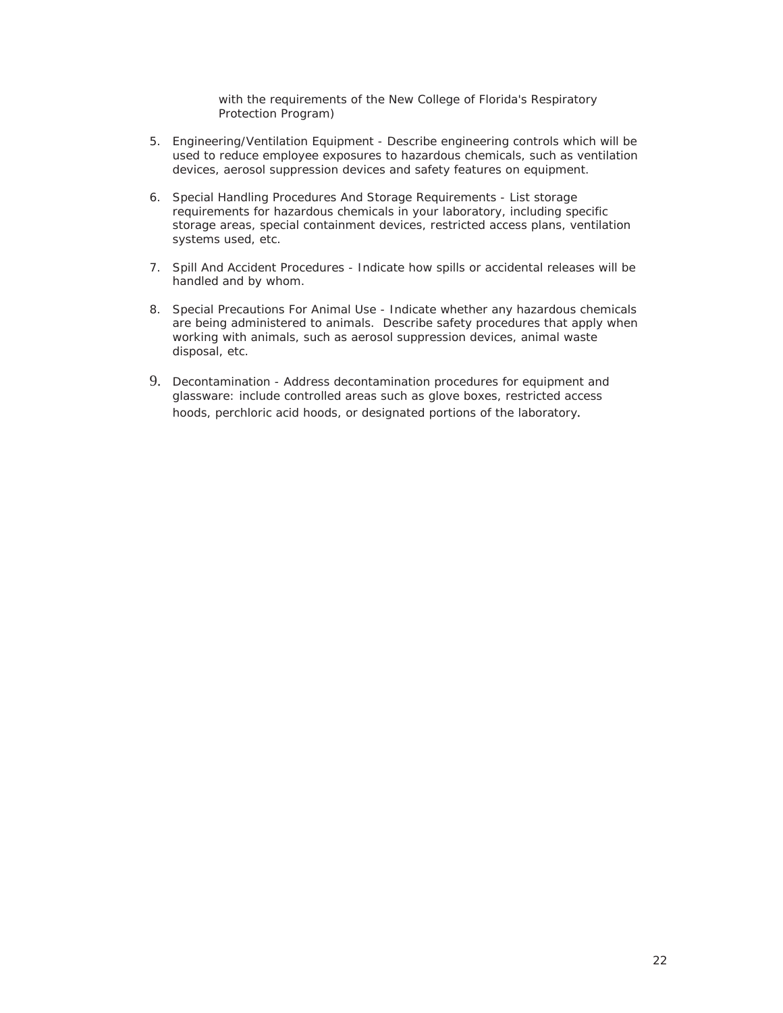with the requirements of the New College of Florida's Respiratory Protection Program)

- 5. Engineering/Ventilation Equipment Describe engineering controls which will be used to reduce employee exposures to hazardous chemicals, such as ventilation devices, aerosol suppression devices and safety features on equipment.
- 6. Special Handling Procedures And Storage Requirements List storage requirements for hazardous chemicals in your laboratory, including specific storage areas, special containment devices, restricted access plans, ventilation systems used, etc.
- 7. Spill And Accident Procedures Indicate how spills or accidental releases will be handled and by whom.
- 8. Special Precautions For Animal Use Indicate whether any hazardous chemicals are being administered to animals. Describe safety procedures that apply when working with animals, such as aerosol suppression devices, animal waste disposal, etc.
- 9. Decontamination Address decontamination procedures for equipment and glassware: include controlled areas such as glove boxes, restricted access hoods, perchloric acid hoods, or designated portions of the laboratory.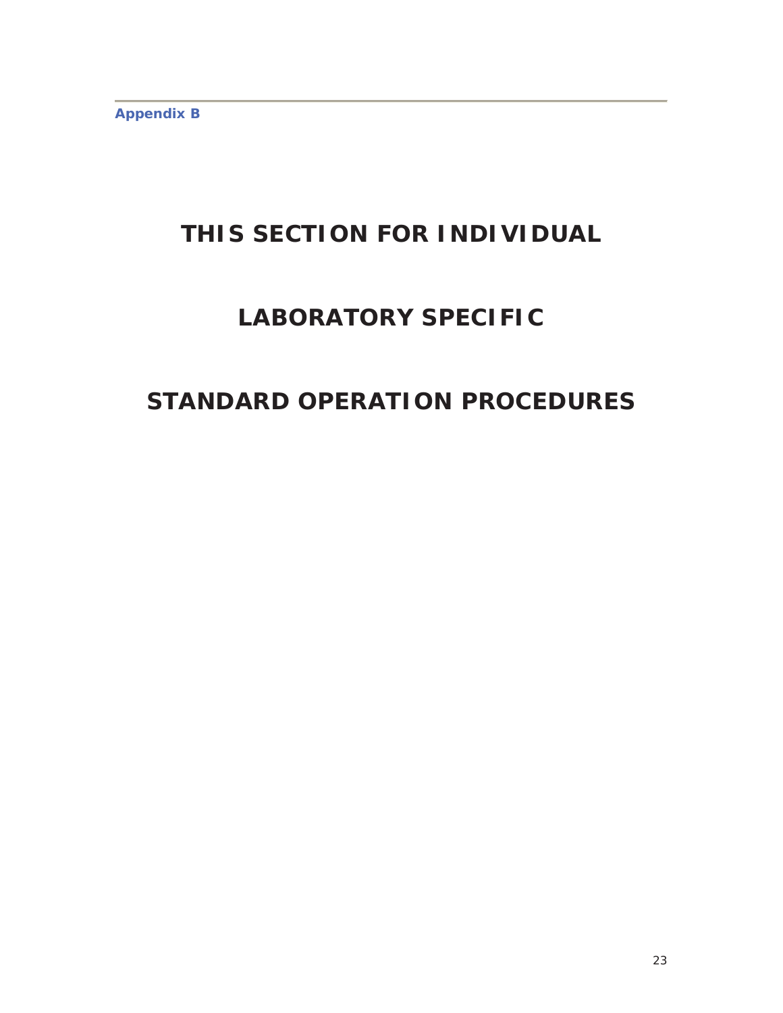**Appendix B** 

## **THIS SECTION FOR INDIVIDUAL**

## **LABORATORY SPECIFIC**

## **STANDARD OPERATION PROCEDURES**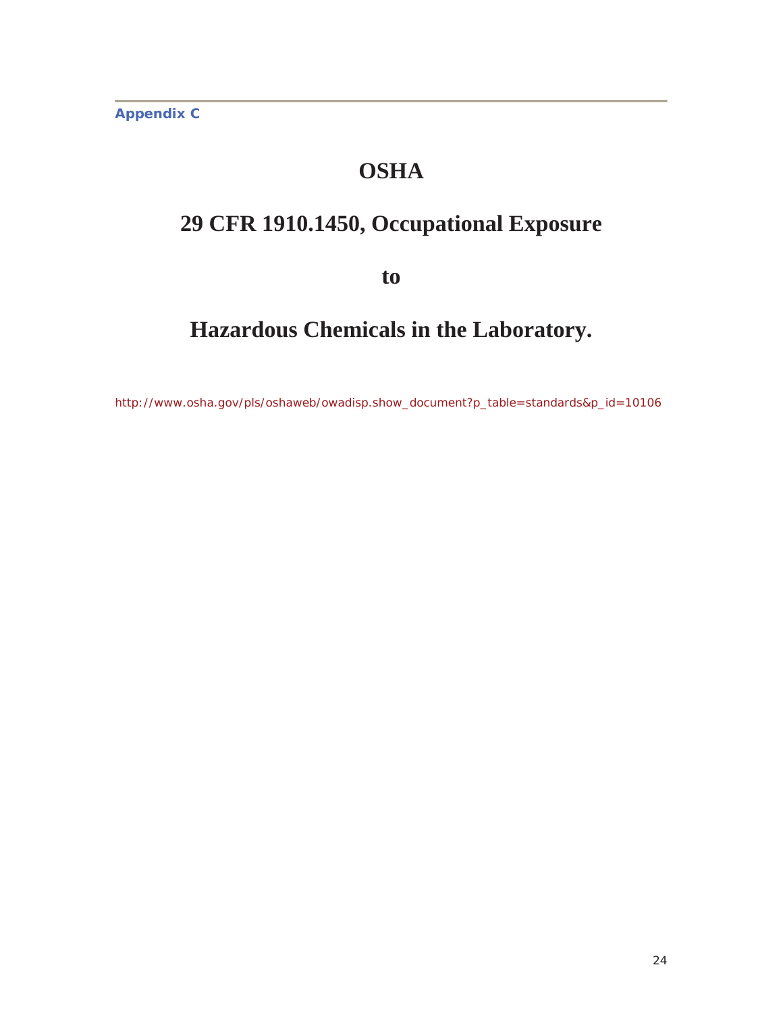**Appendix C** 

## **OSHA**

## **29 CFR 1910.1450, Occupational Exposure**

**to**

## **Hazardous Chemicals in the Laboratory.**

http://www.osha.gov/pls/oshaweb/owadisp.show\_document?p\_table=standards&p\_id=10106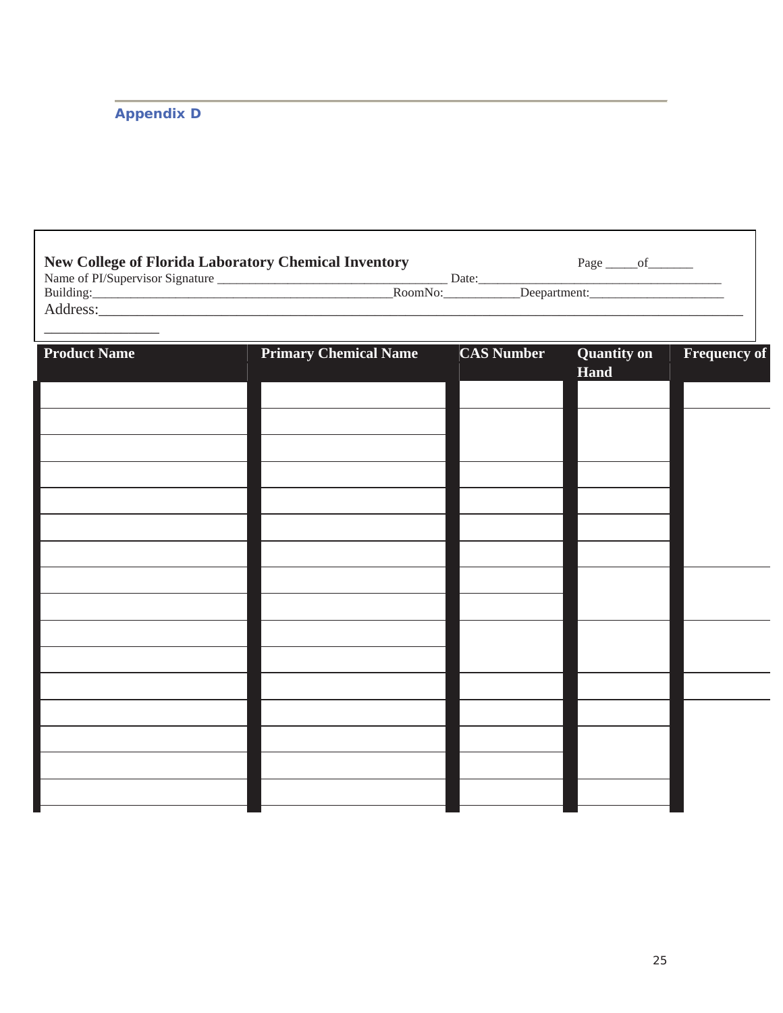### **Appendix D**

| New College of Florida Laboratory Chemical Inventory<br>Page $_{\underbrace{\hspace{1cm}}\text{of}}$ |                              |                   |                    |                     |  |  |
|------------------------------------------------------------------------------------------------------|------------------------------|-------------------|--------------------|---------------------|--|--|
| <b>Product Name</b>                                                                                  | <b>Primary Chemical Name</b> | <b>CAS Number</b> | <b>Quantity on</b> | <b>Frequency of</b> |  |  |
|                                                                                                      |                              |                   | Hand               |                     |  |  |
|                                                                                                      |                              |                   |                    |                     |  |  |
|                                                                                                      |                              |                   |                    |                     |  |  |
|                                                                                                      |                              |                   |                    |                     |  |  |
|                                                                                                      |                              |                   |                    |                     |  |  |
|                                                                                                      |                              |                   |                    |                     |  |  |
|                                                                                                      |                              |                   |                    |                     |  |  |
|                                                                                                      |                              |                   |                    |                     |  |  |
|                                                                                                      |                              |                   |                    |                     |  |  |
|                                                                                                      |                              |                   |                    |                     |  |  |
|                                                                                                      |                              |                   |                    |                     |  |  |
|                                                                                                      |                              |                   |                    |                     |  |  |
|                                                                                                      |                              |                   |                    |                     |  |  |
|                                                                                                      |                              |                   |                    |                     |  |  |
|                                                                                                      |                              |                   |                    |                     |  |  |
|                                                                                                      |                              |                   |                    |                     |  |  |
|                                                                                                      |                              |                   |                    |                     |  |  |
|                                                                                                      |                              |                   |                    |                     |  |  |
|                                                                                                      |                              |                   |                    |                     |  |  |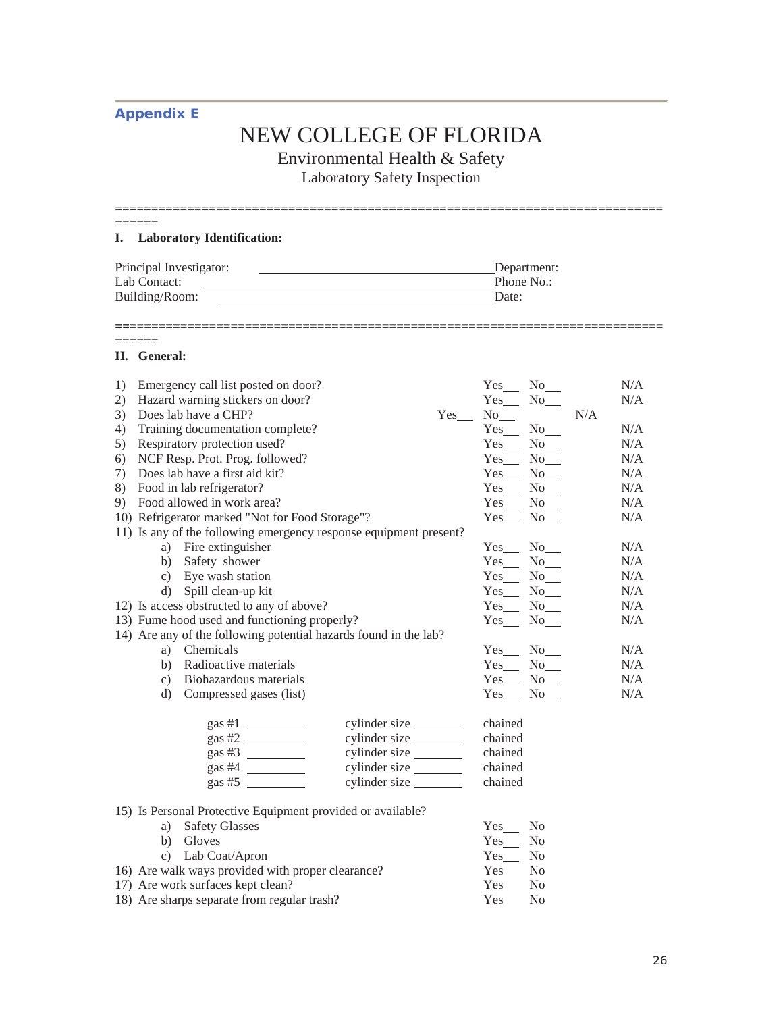### **Appendix E**

# NEW COLLEGE OF FLORIDA

Environmental Health & Safety

Laboratory Safety Inspection

| ________ |  |  |  |
|----------|--|--|--|
|          |  |  |  |

**==**==========================================================================

#### **I. Laboratory Identification:**

| Principal Investigator: | Department: |
|-------------------------|-------------|
| Lab Contact:            | Phone No.:  |
| Building/Room:          | Date:       |

#### **II. General:**

======

| 1) |                 | Emergency call list posted on door?                               |               |     | $Yes$ <sub>___</sub> | $No$ <sub>__</sub>  |     | N/A |
|----|-----------------|-------------------------------------------------------------------|---------------|-----|----------------------|---------------------|-----|-----|
| 2) |                 | Hazard warning stickers on door?                                  |               |     | Yes                  | $No$ <sub>___</sub> |     | N/A |
| 3) |                 | Does lab have a CHP?                                              |               | Yes | $No$ <sub>___</sub>  |                     | N/A |     |
| 4) |                 | Training documentation complete?                                  |               |     | $Yes$ No $\_\$       |                     |     | N/A |
| 5) |                 | Respiratory protection used?                                      |               |     | $Yes$ <sub>___</sub> | $No$ <sub>___</sub> |     | N/A |
| 6) |                 | NCF Resp. Prot. Prog. followed?                                   |               |     | $Yes$ No $\_\$       |                     |     | N/A |
| 7) |                 | Does lab have a first aid kit?                                    |               |     | Yes_ No_             |                     |     | N/A |
|    |                 | 8) Food in lab refrigerator?                                      |               |     | $Yes$ No $\_\$       |                     |     | N/A |
|    |                 | 9) Food allowed in work area?                                     |               |     | $Yes$ No $\_\_$      |                     |     | N/A |
|    |                 | 10) Refrigerator marked "Not for Food Storage"?                   |               |     | Yes No               |                     |     | N/A |
|    |                 | 11) Is any of the following emergency response equipment present? |               |     |                      |                     |     |     |
|    |                 | a) Fire extinguisher                                              |               |     | $Yes$ No $\_\$       |                     |     | N/A |
|    |                 | b) Safety shower                                                  |               |     | $Yes$ No $\_\$       |                     |     | N/A |
|    |                 | c) Eye wash station                                               |               |     | $Yes$ No $\_\$       |                     |     | N/A |
|    |                 | d) Spill clean-up kit                                             |               |     | $Yes$ No $\_\_$      |                     |     | N/A |
|    |                 | 12) Is access obstructed to any of above?                         |               |     | $Yes$ No $\_\_$      |                     |     | N/A |
|    |                 | 13) Fume hood used and functioning properly?                      |               |     | Yes No               |                     |     | N/A |
|    |                 | 14) Are any of the following potential hazards found in the lab?  |               |     |                      |                     |     |     |
|    | a)              | Chemicals                                                         |               |     | Yes_ No_             |                     |     | N/A |
|    | b)              | Radioactive materials                                             |               |     | $Yes$ No $\_\$       |                     |     | N/A |
|    | $\mathcal{C}$ ) | Biohazardous materials                                            |               |     | $Yes$ No $\_\$       |                     |     | N/A |
|    |                 | d) Compressed gases (list)                                        |               |     | $Yes$ No $\_\$       |                     |     | N/A |
|    |                 |                                                                   | cylinder size |     | chained              |                     |     |     |
|    |                 | gas #2 $\frac{1}{2}$                                              | cylinder size |     | chained              |                     |     |     |
|    |                 | gas #3 $\frac{1}{2}$                                              | cylinder size |     | chained              |                     |     |     |
|    |                 | gas #4 $\qquad$                                                   |               |     | chained              |                     |     |     |
|    |                 | gas #5                                                            |               |     | chained              |                     |     |     |
|    |                 |                                                                   |               |     |                      |                     |     |     |
|    |                 | 15) Is Personal Protective Equipment provided or available?       |               |     |                      |                     |     |     |
|    | a)              | <b>Safety Glasses</b>                                             |               |     | Yes                  | N <sub>0</sub>      |     |     |
|    | b)              | Gloves                                                            |               |     | Yes                  | N <sub>0</sub>      |     |     |
|    | $\mathbf{c}$ )  | Lab Coat/Apron                                                    |               |     | <b>Yes</b>           | N <sub>0</sub>      |     |     |

16) Are walk ways provided with proper clearance? Yes No 17) Are work surfaces kept clean? Yes No

18) Are sharps separate from regular trash? Yes No